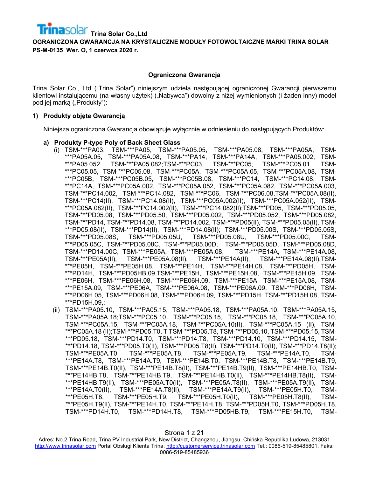#### **Ograniczona Gwarancja**

Trina Solar Co., Ltd ("Trina Solar") niniejszym udziela następującej ograniczonej Gwarancji pierwszemu klientowi instalującemu (na własny użytek) ("Nabywca") dowolny z niżej wymienionych (i żaden inny) model pod jej marką ("Produkty"):

#### **1) Produkty objęte Gwarancją**

Niniejsza ograniczona Gwarancja obowiązuje wyłącznie w odniesieniu do następujących Produktów:

#### **a) Produkty P-type Poly of Back Sheet Glass**

- (i) TSM-\*\*\*PA03, TSM-\*\*\*PA05, TSM-\*\*\*PA05.05, TSM-\*\*\*PA05.08, TSM-\*\*\*PA05A, TSM- \*\*\*PA05A.05, TSM-\*\*\*PA05A.08, TSM-\*\*\*PA14, TSM-\*\*\*PA14A, TSM-\*\*\*PA05.002, TSM- \*\*\*PA05.052, TSM-\*\*\*PA05.082;TSM-\*\*\*PC03, TSM-\*\*\*PC05, TSM-\*\*\*PC05.01, TSM- \*\*\*PC05.05, TSM-\*\*\*PC05.08, TSM-\*\*\*PC05A, TSM-\*\*\*PC05A.05, TSM-\*\*\*PC05A.08, TSM- \*\*\*PC05B, TSM-\*\*\*PC05B.05, TSM-\*\*\*PC05B.08, TSM-\*\*\*PC14, TSM-\*\*\*PC14.08, TSM- \*\*\*PC14A, TSM-\*\*\*PC05A.002, TSM-\*\*\*PC05A.052, TSM-\*\*\*PC05A.082, TSM-\*\*\*PC05A.003, TSM-\*\*\*PC14.002, TSM-\*\*\*PC14.082, TSM-\*\*\*PC06, TSM-\*\*\*PC06.08,TSM-\*\*\*PC05A.08(II), TSM-\*\*\*PC14(II), TSM-\*\*\*PC14.08(II), TSM-\*\*\*PC05A.002(II), TSM-\*\*\*PC05A.052(II), TSM- \*\*\*PC05A.082(II), TSM-\*\*\*PC14.002(II), TSM-\*\*\*PC14.082(II);TSM-\*\*\*PD05, TSM-\*\*\*PD05.05, TSM-\*\*\*PD05.08, TSM-\*\*\*PD05.50, TSM-\*\*\*PD05.002, TSM-\*\*\*PD05.052, TSM-\*\*\*PD05.082, TSM-\*\*\*PD14, TSM-\*\*\*PD14.08, TSM-\*\*\*PD14.002, TSM-\*\*\*PD05(II), TSM-\*\*\*PD05.05(II), TSM- \*\*\*PD05.08(II), TSM-\*\*\*PD14(II), TSM-\*\*\*PD14.08(II); TSM-\*\*\*PD05.00S, TSM-\*\*\*PD05.05S, TSM-\*\*\*PD05.08S, TSM-\*\*\*PD05.05U, TSM-\*\*\*PD05.08U, TSM-\*\*\*PD05.00C, TSM- \*\*\*PD05.05C, TSM-\*\*\*PD05.08C, TSM-\*\*\*PD05.00D, TSM-\*\*\*PD05.05D, TSM-\*\*\*PD05.08D, TSM-\*\*\*PD14.00C, TSM-\*\*\*PE05A, TSM-\*\*\*PE05A.08, TSM-\*\*\*PE14A, TSM-\*\*\*PE14A.08, TSM-\*\*\*PE05A(II), TSM-\*\*\*PE05A.08(II), TSM-\*\*\*PE14A(II), TSM-\*\*\*PE14A.08(II),TSM- \*\*\*PE05H, TSM-\*\*\*PE05H.08, TSM-\*\*\*PE14H, TSM-\*\*\*PE14H.08, TSM-\*\*\*PD05H, TSM- \*\*\*PD14H, TSM-\*\*\*PD05HB.09,TSM-\*\*\*PE15H, TSM-\*\*\*PE15H.08, TSM-\*\*\*PE15H.09, TSM- \*\*\*PE06H, TSM-\*\*\*PE06H.08, TSM-\*\*\*PE06H.09, TSM-\*\*\*PE15A, TSM-\*\*\*PE15A.08, TSM- \*\*\*PE15A.09, TSM-\*\*\*PE06A, TSM-\*\*\*PE06A.08, TSM-\*\*\*PE06A.09, TSM-\*\*\*PD06H, TSM- \*\*\*PD06H.05, TSM-\*\*\*PD06H.08, TSM-\*\*\*PD06H.09, TSM-\*\*\*PD15H, TSM-\*\*\*PD15H.08, TSM- \*\*\*PD15H.09,;
- (ii) TSM-\*\*\*PA05.10, TSM-\*\*\*PA05.15, TSM-\*\*\*PA05.18, TSM-\*\*\*PA05A.10, TSM-\*\*\*PA05A.15, TSM-\*\*\*PA05A.18;TSM-\*\*\*PC05.10, TSM-\*\*\*PC05.15, TSM-\*\*\*PC05.18, TSM-\*\*\*PC05A.10, TSM-\*\*\*PC05A.15, TSM-\*\*\*PC05A.18, TSM-\*\*\*PC05A.10(II), TSM-\*\*\*PC05A.15 (II), TSM- \*\*\*PC05A.18 (II);TSM-\*\*\*PD05.T0, T TSM-\*\*\*PD05.T8, TSM-\*\*\*PD05.10, TSM-\*\*\*PD05.15, TSM- \*\*\*PD05.18, TSM-\*\*\*PD14.T0, TSM-\*\*\*PD14.T8, TSM-\*\*\*PD14.10, TSM-\*\*\*PD14.15, TSM- \*\*\*PD14.18, TSM-\*\*\*PD05.T0(II), TSM-\*\*\*PD05.T8(II), TSM-\*\*\*PD14.T0(II), TSM-\*\*\*PD14.T8(II); TSM-\*\*\*PE05A.T0, TSM-\*\*\*PE05A.T8, TSM-\*\*\*PE05A.T9, TSM-\*\*\*PE14A.T0, TSM- \*\*\*PE14A.T8, TSM-\*\*\*PE14A.T9, TSM-\*\*\*PE14B.T0, TSM-\*\*\*PE14B.T8, TSM-\*\*\*PE14B.T9, TSM-\*\*\*PE14B.T0(II), TSM-\*\*\*PE14B.T8(II), TSM-\*\*\*PE14B.T9(II), TSM-\*\*\*PE14HB.T0, TSM- \*\*\*PE14HB.T8, TSM-\*\*\*PE14HB.T9, TSM-\*\*\*PE14HB.T0(II), TSM-\*\*\*PE14HB.T8(II), TSM- \*\*\*PE14HB.T9(II), TSM-\*\*\*PE05A.T0(II), TSM-\*\*\*PE05A.T8(II), TSM-\*\*\*PE05A.T9(II), TSM- \*\*\*PE14A.T0(II), TSM-\*\*\*PE14A.T8(II), TSM-\*\*\*PE14A.T9(II), TSM-\*\*\*PE05H.T0, TSM- \*\*\*PE05H.T8, TSM-\*\*\*PE05H.T9, TSM-\*\*\*PE05H.T0(II), TSM-\*\*\*PE05H.T8(II), TSM- \*\*\*PE05H.T9(II), TSM-\*\*\*PE14H.T0, TSM-\*\*\*PE14H.T8, TSM-\*\*\*PD05H.T0, TSM-\*\*\*PD05H.T8, TSM-\*\*\*PD14H.T0, TSM-\*\*\*PD14H.T8, TSM-\*\*\*PD05HB.T9, TSM-\*\*\*PE15H.T0, TSM-

Adres: No.2 Trina Road, Trina PV Industrial Park, New District, Changzhou, Jiangsu, Chińska Republika Ludowa, 213031 [http://www.trinasolar.com](http://www.trinasolar.com/) Portal Obsługi Klienta Trina: [http://customerservice.trinasolar.com](http://customerservice.trinasolar.com/) Tel.: 0086-519-85485801, Faks: 0086-519-85485936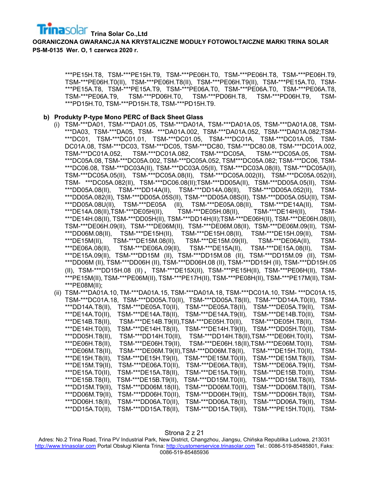**OGRANICZONA GWARANCJA NA KRYSTALICZNE MODUŁY FOTOWOLTAICZNE MARKI TRINA SOLAR PS-M-0135 Wer. O, 1 czerwca 2020 r.**

> \*\*\*PE15H.T8, TSM-\*\*\*PE15H.T9, TSM-\*\*\*PE06H.T0, TSM-\*\*\*PE06H.T8, TSM-\*\*\*PE06H.T9, TSM-\*\*\*PE06H.T0(II), TSM-\*\*\*PE06H.T8(II), TSM-\*\*\*PE06H.T9(II), TSM-\*\*\*PE15A.T0, TSM- \*\*\*PE15A.T8, TSM-\*\*\*PE15A.T9, TSM-\*\*\*PE06A.T0, TSM-\*\*\*PE06A.T0, TSM-\*\*\*PE06A.T8, TSM-\*\*\*PE06A.T9, TSM-\*\*\*PD06H.T0, TSM-\*\*\*PD06H.T8, TSM-\*\*\*PD06H.T9, TSM- \*\*\*PD15H.T0, TSM-\*\*\*PD15H.T8, TSM-\*\*\*PD15H.T9.

#### **b) Produkty P-type Mono PERC of Back Sheet Glass**

- (i) TSM-\*\*\*DA01, TSM-\*\*\*DA01.05, TSM-\*\*\*DA01A, TSM-\*\*\*DA01A.05, TSM-\*\*\*DA01A.08, TSM- \*\*\*DA03, TSM-\*\*\*DA05, TSM- \*\*\*DA01A.002, TSM-\*\*\*DA01A.052, TSM-\*\*\*DA01A.082;TSM- \*\*\*DC01, TSM-\*\*\*DC01.01, TSM-\*\*\*DC01.05, TSM-\*\*\*DC01A, TSM-\*\*\*DC01A.05, TSM-DC01A.08, TSM-\*\*\*DC03, TSM-\*\*\*DC05, TSM-\*\*\*DC80, TSM-\*\*\*DC80.08, TSM-\*\*\*DC01A.002, TSM-\*\*\*DC01A.052, TSM-\*\*\*DC01A.082, TSM-\*\*\*DC05A, TSM-\*\*\*DC05A.05, TSM- \*\*\*DC05A.08, TSM-\*\*\*DC05A.002, TSM-\*\*\*DC05A.052, TSM\*\*\*DC05A.082; TSM-\*\*\*DC06, TSM- \*\*\*DC06.08, TSM-\*\*\*DC03A(II), TSM-\*\*\*DC03A.05(II), TSM-\*\*\*DC03A.08(II), TSM-\*\*\*DC05A(II), TSM-\*\*\*DC05A.05(II), TSM-\*\*\*DC05A.08(II), TSM-\*\*\*DC05A.002(II), TSM-\*\*\*DC05A.052(II), TSM- \*\*\*DC05A.082(II), TSM-\*\*\*DC06.08(II);TSM-\*\*\*DD05A(II), TSM-\*\*\*DD05A.05(II), TSM- \*\*\*DD05A.08(II), TSM-\*\*\*DD14A(II), TSM-\*\*\*DD14A.08(II), TSM-\*\*\*DD05A.052(II), TSM- \*\*\*DD05A.082(II), TSM-\*\*\*DD05A.05S(II), TSM-\*\*\*DD05A.08S(II), TSM-\*\*\*DD05A.05U(II), TSM- \*\*\*DD05A.08U(II), TSM-\*\*\*DE05A (II), TSM-\*\*\*DE05A.08(II), TSM-\*\*\*DE14A(II), TSM- \*\*\*DE14A.08(II),TSM-\*\*\*DE05H(II), TSM-\*\*\*DE05H.08(II), TSM-\*\*\*DE14H(II), TSM- \*\*\*DE14H.08(II), TSM-\*\*\*DD05H(II), TSM-\*\*\*DD14H(II);TSM-\*\*\*DE06H(II), TSM-\*\*\*DE06H.08(II), TSM-\*\*\*DE06H.09(II), TSM-\*\*\*DE06M(II), TSM-\*\*\*DE06M.08(II), TSM-\*\*\*DE06M.09(II), TSM- \*\*\*DD06M.08(II), TSM-\*\*\*DE15H(II), TSM-\*\*\*DE15H.08(II), TSM-\*\*\*DE15H.09(II), TSM- TSM-\*\*\*DE15M.08(II), TSM-\*\*\*DE15M.09(II), TSM-\*\*\*DE06A(II), TSM-\*\*\*DE06A.08(II), TSM-\*\*\*DE06A.09(II), TSM-\*\*\*DE15A(II), TSM-\*\*\*DE15A.08(II), TSM- \*\*\*DE15A.09(II), TSM-\*\*\*DD15M (II), TSM-\*\*\*DD15M.08 (II), TSM-\*\*\*DD15M.09 (II), TSM- \*\*\*DD06M (II), TSM-\*\*\*DD06H (II), TSM-\*\*\*DD06H.08 (II), TSM-\*\*\*DD15H (II), TSM-\*\*\*DD15H.05 (II), TSM-\*\*\*DD15H.08 (II) , TSM-\*\*\*DE15X(II), TSM-\*\*\*PE15H(II), TSM-\*\*\*PE06H(II), TSM- \*\*\*PE15M(II), TSM-\*\*\*PE06M(II), TSM-\*\*\*PE17H(II), TSM-\*\*\*PE08H(II), TSM-\*\*\*PE17M(II), TSM- \*\*\*PE08M(II);
- (ii) TSM-\*\*\*DA01A.10, TM-\*\*\*DA01A.15, TSM-\*\*\*DA01A.18, TSM-\*\*\*DC01A.10, TSM- \*\*\*DC01A.15, TSM-\*\*\*DC01A.18, TSM-\*\*\*DD05A.T0(II), TSM-\*\*\*DD05A.T8(II), TSM-\*\*\*DD14A.T0(II), TSM- \*\*\*DD14A.T8(II), TSM-\*\*\*DE05A.T0(II), TSM-\*\*\*DE05A.T8(II), TSM-\*\*\*DE05A.T9(II), TSM- \*\*\*DE14A.T0(II), TSM-\*\*\*DE14A.T8(II), TSM-\*\*\*DE14A.T9(II), TSM-\*\*\*DE14B.T0(II), TSM- \*\*\*DE14B.T8(II), TSM-\*\*\*DE14B.T9(II),TSM-\*\*\*DE05H.T0(II), TSM-\*\*\*DE05H.T8(II), TSM- \*\*\*DE14H.T0(II), TSM-\*\*\*DE14H.T8(II), TSM-\*\*\*DE14H.T9(II), TSM-\*\*\*DD05H.T0(II), TSM- \*\*\*DD05H.T8(II), TSM-\*\*\*DD14H.T0(II), TSM-\*\*\*DD14H.T8(II),TSM-\*\*\*DE06H.T0(II), TSM- \*\*\*DE06H.T8(II), TSM-\*\*\*DE06H.T9(II), TSM-\*\*\*DE06H.18(II),TSM-\*\*\*DE06M.T0(II), TSM- \*\*\*DE06M.T8(II), TSM-\*\*\*DE06M.T9(II),TSM-\*\*\*DD06M.T8(II), TSM-\*\*\*DE15H.T0(II), TSM- \*\*\*DE15H.T8(II), TSM-\*\*\*DE15H.T9(II), TSM-\*\*\*DE15M.T0(II), TSM-\*\*\*DE15M.T8(II), TSM- \*\*\*DE15M.T9(II), TSM-\*\*\*DE06A.T0(II), TSM-\*\*\*DE06A.T8(II), TSM-\*\*\*DE06A.T9(II), TSM- \*\*\*DE15A.T0(II), TSM-\*\*\*DE15A.T8(II), TSM-\*\*\*DE15A.T9(II), TSM-\*\*\*DE15B.T0(II), TSM- \*\*\*DE15B.T8(II), TSM-\*\*\*DE15B.T9(II), TSM-\*\*\*DD15M.T0(II), TSM-\*\*\*DD15M.T8(II), TSM- \*\*\*DD15M.T9(II), TSM-\*\*\*DD06M.18(II), TSM-\*\*\*DD06M.T0(II), TSM-\*\*\*DD06M.T8(II), TSM- \*\*\*DD06M.T9(II), TSM-\*\*\*DD06H.T0(II), TSM-\*\*\*DD06H.T9(II), TSM-\*\*\*DD06H.T8(II), TSM- \*\*\*DD06H.18(II), TSM-\*\*\*DD06A.T0(II), TSM-\*\*\*DD06A.T8(II), TSM-\*\*\*DD06A.T9(II), TSM- \*\*\*DD15A.T0(II), TSM-\*\*\*DD15A.T8(II), TSM-\*\*\*DD15A.T9(II), TSM-\*\*\*PE15H.T0(II), TSM-

#### Strona 2 z 21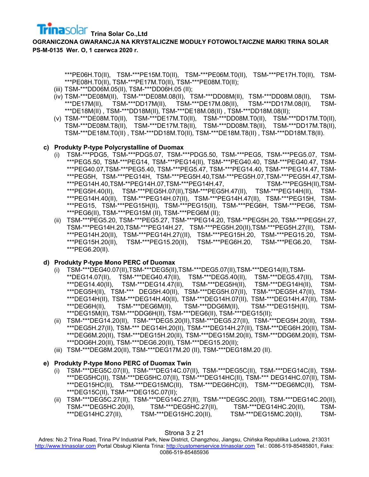**OGRANICZONA GWARANCJA NA KRYSTALICZNE MODUŁY FOTOWOLTAICZNE MARKI TRINA SOLAR PS-M-0135 Wer. O, 1 czerwca 2020 r.**

> \*\*\*PE06H.T0(II), TSM-\*\*\*PE15M.T0(II), TSM-\*\*\*PE06M.T0(II), TSM-\*\*\*PE17H.T0(II), TSM- \*\*\*PE08H.T0(II), TSM-\*\*\*PE17M.T0(II), TSM-\*\*\*PE08M.T0(II);

- (iii) TSM-\*\*\*DD06M.05(II), TSM-\*\*\*DD06H.05 (II);
- (iv) TSM-\*\*\*DE08M(II), TSM-\*\*\*DE08M.08(II), TSM-\*\*\*DD08M(II), TSM-\*\*\*DD08M.08(II), TSM- \*\*\*DE17M(II), TSM-\*\*\*DD17M(II), TSM-\*\*\*DE17M.08(II), TSM-\*\*\*DD17M.08(II), TSM- \*\*\*DE18M(II) , TSM-\*\*\*DD18M(II), TSM-\*\*\*DE18M.08(II) , TSM-\*\*\*DD18M.08(II);
- (v) TSM-\*\*\*DE08M.T0(II), TSM-\*\*\*DE17M.T0(II), TSM-\*\*\*DD08M.T0(II), TSM-\*\*\*DD17M.T0(II), TSM-\*\*\*DE08M.T8(II), TSM-\*\*\*DE17M.T8(II), TSM-\*\*\*DD08M.T8(II), TSM-\*\*\*DD17M.T8(II), TSM-\*\*\*DE18M.T0(II) , TSM-\*\*\*DD18M.T0(II), TSM-\*\*\*DE18M.T8(II) , TSM-\*\*\*DD18M.T8(II).

# **c) Produkty P-type Polycrystalline of Duomax**

- (i) TSM-\*\*\*PDG5, TSM-\*\*\*PDG5.07, TSM-\*\*\*PDG5.50, TSM-\*\*\*PEG5, TSM-\*\*\*PEG5.07, TSM- \*\*\*PEG5.50, TSM-\*\*\*PEG14, TSM-\*\*\*PEG14(II), TSM-\*\*\*PEG40.40, TSM-\*\*\*PEG40.47, TSM- \*\*\*PEG40.07,TSM-\*\*\*PEG5.40, TSM-\*\*\*PEG5.47, TSM-\*\*\*PEG14.40, TSM-\*\*\*PEG14.47, TSM- \*\*\*PEG5H, TSM-\*\*\*PEG14H, TSM-\*\*\*PEG5H.40,TSM-\*\*\*PEG5H.07,TSM-\*\*\*PEG5H.47,TSM- \*\*\*PEG14H.40,TSM-\*\*PEG14H.07,TSM-\*\*\*PEG14H.47, TSM-\*\*\*PEG5H(II),TSM- \*\*\*PEG5H.40(II), TSM-\*\*\*PEG5H.07(II),TSM-\*\*\*PEG5H.47(II), TSM-\*\*\*PEG14H(II), TSM- \*\*\*PEG14H.40(II), TSM-\*\*\*PEG14H.07(II), TSM-\*\*\*PEG14H.47(II), TSM-\*\*\*PEG15H, TSM- \*\*\*PEG15, TSM-\*\*\*PEG15H(II), TSM-\*\*\*PEG15(II), TSM-\*\*\*PEG6H, TSM-\*\*\*PEG6, TSM- \*\*\*PEG6(II), TSM-\*\*\*PEG15M (II), TSM-\*\*\*PEG6M (II);
- (ii) TSM-\*\*\*PEG5.20, TSM-\*\*\*PEG5.27, TSM-\*\*\*PEG14.20, TSM-\*\*PEG5H.20, TSM-\*\*\*PEG5H.27, TSM-\*\*\*PEG14H.20,TSM-\*\*\*PEG14H.27, TSM-\*\*\*PEG5H.20(II),TSM-\*\*\*PEG5H.27(II), TSM- \*\*\*PEG14H.20(II), TSM-\*\*\*PEG14H.27((II), TSM-\*\*\*PEG15H.20, TSM-\*\*\*PEG15.20, TSM- \*\*\*PEG15H.20(II), TSM-\*\*\*PEG15.20(II), TSM-\*\*\*PEG6H.20, TSM-\*\*\*PEG6.20, TSM- \*\*\*PEG6.20(II).

# **d) Produkty P-type Mono PERC of Duomax**

- (i) TSM-\*\*\*DEG40.07(II),TSM-\*\*\*DEG5(II),TSM-\*\*\*DEG5.07(II),TSM-\*\*\*DEG14(II),TSM- \*\*DEG14.07(II), TSM-\*\*\*DEG40.47(II), TSM-\*\*\*DEG5.40(II), TSM-\*\*\*DEG5.47(II), TSM- \*\*\*DEG14.40(II), TSM-\*\*\*DEG14.47(II), TSM-\*\*\*DEG5H(II), TSM-\*\*\*DEG14H(II), TSM- \*\*\*DEG5H(II), TSM-\*\*\* DEG5H.40(II), TSM-\*\*\*DEG5H.07(II), TSM-\*\*\*DEG5H.47(II), TSM- \*\*\*DEG14H(II), TSM-\*\*\*DEG14H.40(II), TSM-\*\*\*DEG14H.07(II), TSM-\*\*\*DEG14H.47(II), TSM- \*\*\*DEG6H(II), TSM-\*\*\*DEG6M(II), TSM-\*\*\*DDG6M(II), TSM-\*\*\*DEG15H(II), TSM- \*\*\*DEG15M(II), TSM-\*\*\*DDG6H(II), TSM-\*\*\*DEG6(II), TSM-\*\*\*DEG15(II);
- (ii) TSM-\*\*\*DEG14.20(II), TSM-\*\*\*DEG5.20(II),TSM-\*\*\*DEG5.27(II), TSM-\*\*\*DEG5H.20(II), TSM- \*\*\*DEG5H.27(II), TSM-\*\*\* DEG14H.20(II), TSM-\*\*\*DEG14H.27(II), TSM-\*\*\*DEG6H.20(II), TSM- \*\*\*DEG6M.20(II), TSM-\*\*\*DEG15H.20(II), TSM-\*\*\*DEG15M.20(II), TSM-\*\*\*DDG6M.20(II), TSM- \*\*\*DDG6H.20(II), TSM-\*\*\*DEG6.20(II), TSM-\*\*\*DEG15.20(II);
- (iii) TSM-\*\*\*DEG8M.20(II), TSM-\*\*\*DEG17M.20 (II), TSM-\*\*\*DEG18M.20 (II).

# **e) Produkty P-type Mono PERC of Duomax Twin**

- (i) TSM-\*\*\*DEG5C.07(II), TSM-\*\*\*DEG14C.07(II), TSM-\*\*\*DEG5C(II), TSM-\*\*\*DEG14C(II), TSM- \*\*\*DEG5HC(II), TSM-\*\*\*DEG5HC.07(II), TSM-\*\*\*DEG14HC(II), TSM-\*\*\* DEG14HC.07(II), TSM- \*\*\*DEG15HC(II), TSM-\*\*\*DEG15MC(II), TSM-\*\*\*DEG6HC(II), TSM-\*\*\*DEG6MC(II), TSM- \*\*\*DEG15C(II), TSM-\*\*\*DEG15C.07(II);
- (ii) TSM-\*\*\*DEG5C.27(II), TSM-\*\*\*DEG14C.27(II), TSM-\*\*\*DEG5C.20(II), TSM-\*\*\*DEG14C.20(II), TSM-\*\*\*DEG5HC.20(II), TSM-\*\*\*DEG5HC.27(II), TSM-\*\*\*DEG14HC.20(II), TSM- \*\*\*DEG14HC.27(II), TSM-\*\*\*DEG15HC.20(II), TSM-\*\*\*DEG15MC.20(II), TSM-

Strona 3 z 21

Adres: No.2 Trina Road, Trina PV Industrial Park, New District, Changzhou, Jiangsu, Chińska Republika Ludowa, 213031 [http://www.trinasolar.com](http://www.trinasolar.com/) Portal Obsługi Klienta Trina: [http://customerservice.trinasolar.com](http://customerservice.trinasolar.com/) Tel.: 0086-519-85485801, Faks: 0086-519-85485936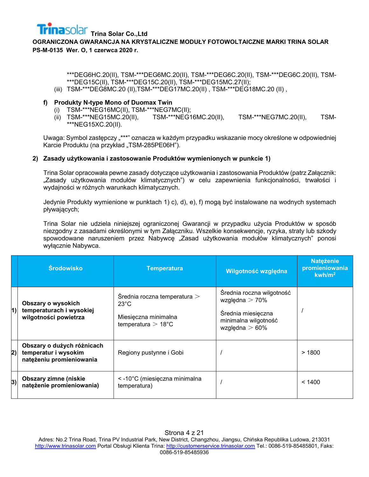**OGRANICZONA GWARANCJA NA KRYSTALICZNE MODUŁY FOTOWOLTAICZNE MARKI TRINA SOLAR PS-M-0135 Wer. O, 1 czerwca 2020 r.**

> \*\*\*DEG6HC.20(II), TSM-\*\*\*DEG6MC.20(II), TSM-\*\*\*DEG6C.20(II), TSM-\*\*\*DEG6C.20(II), TSM- \*\*\*DEG15C(II), TSM-\*\*\*DEG15C.20(II), TSM-\*\*\*DEG15MC.27(II);

(iii) TSM-\*\*\*DEG8MC.20 (II),TSM-\*\*\*DEG17MC.20(II) , TSM-\*\*\*DEG18MC.20 (II) ,

# **f) Produkty N-type Mono of Duomax Twin**

- 
- (i) TSM-\*\*\*NEG16MC(II), TSM-\*\*\*NEG7MC(II); (ii) TSM-\*\*\*NEG15MC.20(II), TSM-\*\*\*NEG16MC.20(II), TSM-\*\*\*NEG7MC.20(II), TSM- \*\*\*NEG15XC.20(II).

Uwaga: Symbol zastępczy "\*\*\*" oznacza w każdym przypadku wskazanie mocy określone w odpowiedniej Karcie Produktu (na przykład "TSM-285PE06H").

# **2) Zasady użytkowania i zastosowanie Produktów wymienionych w punkcie 1)**

Trina Solar opracowała pewne zasady dotyczące użytkowania i zastosowania Produktów (patrz Załącznik: "Zasady użytkowania modułów klimatycznych") w celu zapewnienia funkcjonalności, trwałości i wydajności w różnych warunkach klimatycznych.

Jedynie Produkty wymienione w punktach 1) c), d), e), f) mogą być instalowane na wodnych systemach pływających;

Trina Solar nie udziela niniejszej ograniczonej Gwarancji w przypadku użycia Produktów w sposób niezgodny z zasadami określonymi w tym Załączniku. Wszelkie konsekwencje, ryzyka, straty lub szkody spowodowane naruszeniem przez Nabywcę "Zasad użytkowania modułów klimatycznych" ponosi wyłącznie Nabywca.

|    | <b>Środowisko</b>                                                              | <b>Temperatura</b>                                                                                      | Wilgotność względna                                                                                             | <b>Nateżenie</b><br>promieniowania<br>kwh/m <sup>2</sup> |
|----|--------------------------------------------------------------------------------|---------------------------------------------------------------------------------------------------------|-----------------------------------------------------------------------------------------------------------------|----------------------------------------------------------|
| 1) | Obszary o wysokich<br>temperaturach i wysokiej<br>wilgotności powietrza        | Średnia roczna temperatura $>$<br>$23^{\circ}$ C<br>Miesięczna minimalna<br>temperatura $>18^{\circ}$ C | Średnia roczna wilgotność<br>względna $>$ 70%<br>Średnia miesięczna<br>minimalna wilgotność<br>względna $>60\%$ |                                                          |
| 2) | Obszary o dużych różnicach<br>temperatur i wysokim<br>natężeniu promieniowania | Regiony pustynne i Gobi                                                                                 |                                                                                                                 | >1800                                                    |
| 3) | <b>Obszary zimne (niskie</b><br>natężenie promieniowania)                      | < -10°C (miesięczna minimalna<br>temperatura)                                                           |                                                                                                                 | < 1400                                                   |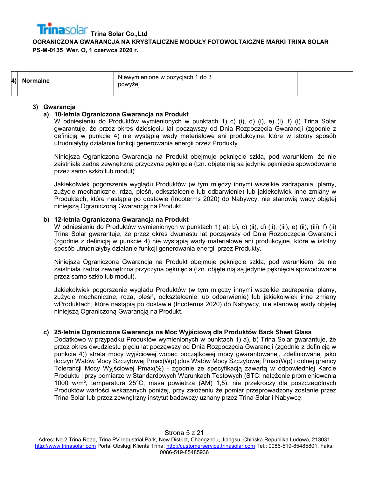| 4) Normalne | Niewymienione w pozycjach 1 do 3<br>powyżej |  |
|-------------|---------------------------------------------|--|
|             |                                             |  |

#### **3) Gwarancja**

## **a) 10-letnia Ograniczona Gwarancja na Produkt**

W odniesieniu do Produktów wymienionych w punktach 1) c) (i), d) (i), e) (i), f) (i) Trina Solar gwarantuje, że przez okres dziesięciu lat począwszy od Dnia Rozpoczęcia Gwarancji (zgodnie z definicją w punkcie 4) nie wystąpią wady materiałowe ani produkcyjne, które w istotny sposób utrudniałyby działanie funkcji generowania energii przez Produkty.

Niniejsza Ograniczona Gwarancja na Produkt obejmuje pęknięcie szkła, pod warunkiem, że nie zaistniała żadna zewnętrzna przyczyna pęknięcia (tzn. objęte nią są jedynie pęknięcia spowodowane przez samo szkło lub moduł).

Jakiekolwiek pogorszenie wyglądu Produktów (w tym między innymi wszelkie zadrapania, plamy, zużycie mechaniczne, rdza, pleśń, odkształcenie lub odbarwienie) lub jakiekolwiek inne zmiany w Produktach, które nastąpią po dostawie (Incoterms 2020) do Nabywcy, nie stanowią wady objętej niniejszą Ograniczoną Gwarancją na Produkt.

# **b) 12-letnia Ograniczona Gwarancja na Produkt**

W odniesieniu do Produktów wymienionych w punktach 1) a), b), c) (ii), d) (ii), (iii), e) (ii), (iii), f) (ii) Trina Solar gwarantuje, że przez okres dwunastu lat począwszy od Dnia Rozpoczęcia Gwarancji (zgodnie z definicją w punkcie 4) nie wystąpią wady materiałowe ani produkcyjne, które w istotny sposób utrudniałyby działanie funkcji generowania energii przez Produkty.

Niniejsza Ograniczona Gwarancja na Produkt obejmuje pęknięcie szkła, pod warunkiem, że nie zaistniała żadna zewnętrzna przyczyna pęknięcia (tzn. objęte nią są jedynie pęknięcia spowodowane przez samo szkło lub moduł).

Jakiekolwiek pogorszenie wyglądu Produktów (w tym między innymi wszelkie zadrapania, plamy, zużycie mechaniczne, rdza, pleśń, odkształcenie lub odbarwienie) lub jakiekolwiek inne zmiany wProduktach, które nastąpią po dostawie (Incoterms 2020) do Nabywcy, nie stanowią wady objętej niniejszą Ograniczoną Gwarancją na Produkt.

#### **c) 25-letnia Ograniczona Gwarancja na Moc Wyjściową dla Produktów Back Sheet Glass**

Dodatkowo w przypadku Produktów wymienionych w punktach 1) a), b) Trina Solar gwarantuje, że przez okres dwudziestu pięciu lat począwszy od Dnia Rozpoczęcia Gwarancji (zgodnie z definicją w punkcie 4)) strata mocy wyjściowej wobec początkowej mocy gwarantowanej, zdefiniowanej jako iloczyn Watów Mocy Szczytowej Pmax(Wp) plus Watów Mocy Szczytowej Pmax(Wp) i dolnej granicy Tolerancji Mocy Wyjściowej Pmax(%) - zgodnie ze specyfikacją zawartą w odpowiedniej Karcie Produktu i przy pomiarze w Standardowych Warunkach Testowych (STC: natężenie promieniowania 1000 w/m², temperatura 25°C, masa powietrza (AM) 1,5), nie przekroczy dla poszczególnych Produktów wartości wskazanych poniżej, przy założeniu że pomiar przeprowadzony zostanie przez Trina Solar lub przez zewnętrzny instytut badawczy uznany przez Trina Solar i Nabywcę: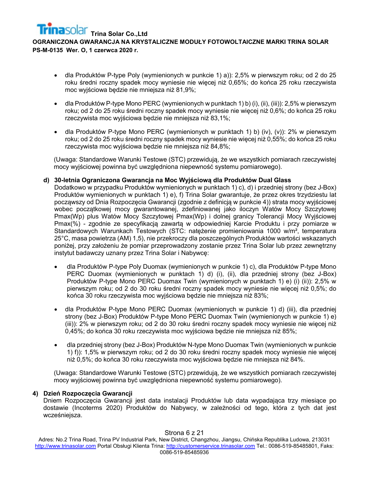- dla Produktów P-type Poly (wymienionych w punkcie 1) a)): 2,5% w pierwszym roku; od 2 do 25 roku średni roczny spadek mocy wyniesie nie więcej niż 0,65%; do końca 25 roku rzeczywista moc wyjściowa będzie nie mniejsza niż 81,9%;
- dla Produktów P-type Mono PERC (wymienionych w punktach 1) b) (i), (ii), (iii)): 2,5% w pierwszym roku; od 2 do 25 roku średni roczny spadek mocy wyniesie nie więcej niż 0,6%; do końca 25 roku rzeczywista moc wyjściowa będzie nie mniejsza niż 83,1%;
- dla Produktów P-type Mono PERC (wymienionych w punktach 1) b) (iv), (v)): 2% w pierwszym roku; od 2 do 25 roku średni roczny spadek mocy wyniesie nie więcej niż 0,55%; do końca 25 roku rzeczywista moc wyjściowa będzie nie mniejsza niż 84,8%;

(Uwaga: Standardowe Warunki Testowe (STC) przewidują, że we wszystkich pomiarach rzeczywistej mocy wyjściowej powinna być uwzględniona niepewność systemu pomiarowego).

### **d) 30-letnia Ograniczona Gwarancja na Moc Wyjściową dla Produktów Dual Glass**

Dodatkowo w przypadku Produktów wymienionych w punktach 1) c), d) i przedniej strony (bez J-Box) Produktów wymienionych w punktach 1) e), f) Trina Solar gwarantuje, że przez okres trzydziestu lat począwszy od Dnia Rozpoczęcia Gwarancji (zgodnie z definicją w punkcie 4)) strata mocy wyjściowej wobec początkowej mocy gwarantowanej, zdefiniowanej jako iloczyn Watów Mocy Szczytowej Pmax(Wp) plus Watów Mocy Szczytowej Pmax(Wp) i dolnej granicy Tolerancji Mocy Wyjściowej Pmax(%) - zgodnie ze specyfikacją zawartą w odpowiedniej Karcie Produktu i przy pomiarze w Standardowych Warunkach Testowych (STC: natężenie promieniowania 1000 w/m<sup>2</sup>, temperatura 25°C, masa powietrza (AM) 1,5), nie przekroczy dla poszczególnych Produktów wartości wskazanych poniżej, przy założeniu że pomiar przeprowadzony zostanie przez Trina Solar lub przez zewnętrzny instytut badawczy uznany przez Trina Solar i Nabywcę:

- dla Produktów P-type Poly Duomax (wymienionych w punkcie 1) c), dla Produktów P-type Mono PERC Duomax (wymienionych w punktach 1) d) (i), (ii), dla przedniej strony (bez J-Box) Produktów P-type Mono PERC Duomax Twin (wymienionych w punktach 1) e) (i) (ii)): 2,5% w pierwszym roku; od 2 do 30 roku średni roczny spadek mocy wyniesie nie więcej niż 0,5%; do końca 30 roku rzeczywista moc wyjściowa będzie nie mniejsza niż 83%;
- dla Produktów P-type Mono PERC Duomax (wymienionych w punkcie 1) d) (iii), dla przedniej strony (bez J-Box) Produktów P-type Mono PERC Duomax Twin (wymienionych w punkcie 1) e) (iii)): 2% w pierwszym roku; od 2 do 30 roku średni roczny spadek mocy wyniesie nie więcej niż 0,45%; do końca 30 roku rzeczywista moc wyjściowa będzie nie mniejsza niż 85%;
- dla przedniej strony (bez J-Box) Produktów N-type Mono Duomax Twin (wymienionych w punkcie 1) f)): 1,5% w pierwszym roku; od 2 do 30 roku średni roczny spadek mocy wyniesie nie więcej niż 0,5%; do końca 30 roku rzeczywista moc wyjściowa będzie nie mniejsza niż 84%.

(Uwaga: Standardowe Warunki Testowe (STC) przewidują, że we wszystkich pomiarach rzeczywistej mocy wyjściowej powinna być uwzględniona niepewność systemu pomiarowego).

#### **4) Dzień Rozpoczęcia Gwarancji**

Dniem Rozpoczęcia Gwarancji jest data instalacji Produktów lub data wypadająca trzy miesiące po dostawie (Incoterms 2020) Produktów do Nabywcy, w zależności od tego, która z tych dat jest wcześniejsza.

#### Strona 6 z 21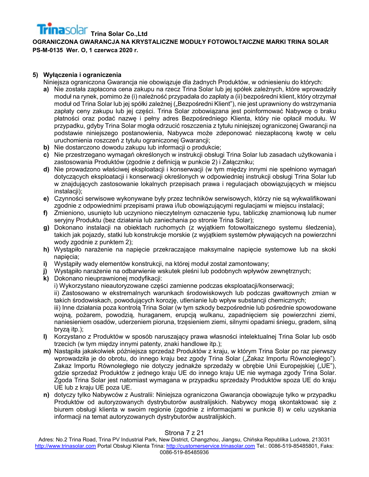## **5) Wyłączenia i ograniczenia**

Niniejsza ograniczona Gwarancja nie obowiązuje dla żadnych Produktów, w odniesieniu do których:

- **a)** Nie została zapłacona cena zakupu na rzecz Trina Solar lub jej spółek zależnych, które wprowadziły moduł na rynek, pomimo że (i) należność przypadała do zapłaty a (ii) bezpośredni klient, który otrzymał moduł od Trina Solar lub jej spółki zależnej ("Bezpośredni Klient"), nie jest uprawniony do wstrzymania zapłaty ceny zakupu lub jej części. Trina Solar zobowiązana jest poinformować Nabywcę o braku płatności oraz podać nazwę i pełny adres Bezpośredniego Klienta, który nie opłacił modułu. W przypadku, gdyby Trina Solar mogła odrzucić roszczenia z tytułu niniejszej ograniczonej Gwarancji na podstawie niniejszego postanowienia, Nabywca może zdeponować niezapłaconą kwotę w celu uruchomienia roszczeń z tytułu ograniczonej Gwarancji;
- **b)** Nie dostarczono dowodu zakupu lub informacji o produkcie;
- **c)** Nie przestrzegano wymagań określonych w instrukcji obsługi Trina Solar lub zasadach użytkowania i zastosowania Produktów (zgodnie z definicją w punkcie 2) i Załączniku;
- **d)** Nie prowadzono właściwej eksploatacji i konserwacji (w tym między innymi nie spełniono wymagań dotyczących eksploatacji i konserwacji określonych w odpowiedniej instrukcji obsługi Trina Solar lub w znajdujących zastosowanie lokalnych przepisach prawa i regulacjach obowiązujących w miejscu instalacji);
- **e)** Czynności serwisowe wykonywane były przez techników serwisowych, którzy nie są wykwalifikowani zgodnie z odpowiednimi przepisami prawa i/lub obowiązującymi regulacjami w miejscu instalacji;
- **f)** Zmieniono, usunięto lub uczyniono nieczytelnym oznaczenie typu, tabliczkę znamionową lub numer seryjny Produktu (bez działania lub zaniechania po stronie Trina Solar);
- **g)** Dokonano instalacji na obiektach ruchomych (z wyjątkiem fotowoltaicznego systemu śledzenia), takich jak pojazdy, statki lub konstrukcje morskie (z wyjątkiem systemów pływających na powierzchni wody zgodnie z punktem 2);
- **h)** Wystąpiło narażenie na napięcie przekraczające maksymalne napięcie systemowe lub na skoki napięcia;
- **i)** Wystąpiły wady elementów konstrukcji, na której moduł został zamontowany;
- **j)** Wystąpiło narażenie na odbarwienie wskutek pleśni lub podobnych wpływów zewnętrznych;
- **k)** Dokonano nieuprawnionej modyfikacji:
	- i) Wykorzystano nieautoryzowane części zamienne podczas eksploatacji/konserwacji;

ii) Zastosowano w ekstremalnych warunkach środowiskowych lub podczas gwałtownych zmian w takich środowiskach, powodujących korozję, utlenianie lub wpływ substancji chemicznych;

iii) Inne działania poza kontrolą Trina Solar (w tym szkody bezpośrednie lub pośrednie spowodowane wojną, pożarem, powodzią, huraganem, erupcją wulkanu, zapadnięciem się powierzchni ziemi, naniesieniem osadów, uderzeniem pioruna, trzęsieniem ziemi, silnymi opadami śniegu, gradem, silną bryzą itp.);

- **l)** Korzystano z Produktów w sposób naruszający prawa własności intelektualnej Trina Solar lub osób trzecich (w tym między innymi patenty, znaki handlowe itp.);
- **m)** Nastąpiła jakakolwiek późniejsza sprzedaż Produktów z kraju, w którym Trina Solar po raz pierwszy wprowadziła je do obrotu, do innego kraju bez zgody Trina Solar ("Żakaz Importu Równoległego"). Zakaz Importu Równoległego nie dotyczy jednakże sprzedaży w obrębie Unii Europejskiej ("UE"), gdzie sprzedaż Produktów z jednego kraju UE do innego kraju UE nie wymaga zgody Trina Solar. Zgoda Trina Solar jest natomiast wymagana w przypadku sprzedaży Produktów spoza UE do kraju UE lub z kraju UE poza UE.
- **n)** dotyczy tylko Nabywców z Australii: Niniejsza ograniczona Gwarancja obowiązuje tylko w przypadku Produktów od autoryzowanych dystrybutorów australijskich. Nabywcy mogą skontaktować się z biurem obsługi klienta w swoim regionie (zgodnie z informacjami w punkcie 8) w celu uzyskania informacji na temat autoryzowanych dystrybutorów australijskich.

# Strona 7 z 21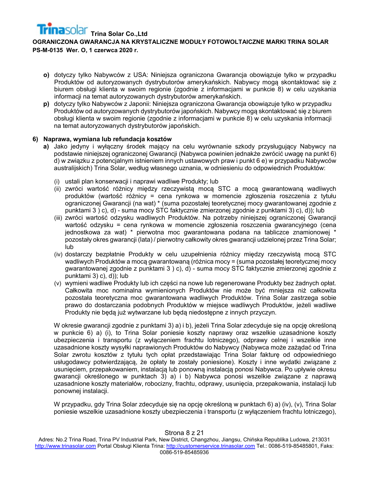**OGRANICZONA GWARANCJA NA KRYSTALICZNE MODUŁY FOTOWOLTAICZNE MARKI TRINA SOLAR PS-M-0135 Wer. O, 1 czerwca 2020 r.**

- **o)** dotyczy tylko Nabywców z USA: Niniejsza ograniczona Gwarancja obowiązuje tylko w przypadku Produktów od autoryzowanych dystrybutorów amerykańskich. Nabywcy mogą skontaktować się z biurem obsługi klienta w swoim regionie (zgodnie z informacjami w punkcie 8) w celu uzyskania informacji na temat autoryzowanych dystrybutorów amerykańskich.
- **p)** dotyczy tylko Nabywców z Japonii: Niniejsza ograniczona Gwarancja obowiązuje tylko w przypadku Produktów od autoryzowanych dystrybutorów japońskich. Nabywcy mogą skontaktować się z biurem obsługi klienta w swoim regionie (zgodnie z informacjami w punkcie 8) w celu uzyskania informacji na temat autoryzowanych dystrybutorów japońskich.

# **6) Naprawa, wymiana lub refundacja kosztów**

- **a)** Jako jedyny i wyłączny środek mający na celu wyrównanie szkody przysługujący Nabywcy na podstawie niniejszej ograniczonej Gwarancji (Nabywca powinien jednakże zwrócić uwagę na punkt 6) d) w związku z potencjalnym istnieniem innych ustawowych praw i punkt 6 e) w przypadku Nabywców australijskich) Trina Solar, według własnego uznania, w odniesieniu do odpowiednich Produktów:
	- (i) ustali plan konserwacji i naprawi wadliwe Produkty; lub
	- (ii) zwróci wartość różnicy między rzeczywistą mocą STC a mocą gwarantowaną wadliwych produktów (wartość różnicy = cena rynkowa w momencie zgłoszenia roszczenia z tytułu ograniczonej Gwarancji (na wat) \* (suma pozostałej teoretycznej mocy gwarantowanej zgodnie z punktami 3 ) c), d) - suma mocy STC faktycznie zmierzonej zgodnie z punktami 3) c), d)); lub
	- (iii) zwróci wartość odzysku wadliwych Produktów. Na potrzeby niniejszej ograniczonej Gwarancji wartość odzysku = cena rynkowa w momencie zgłoszenia roszczenia gwarancyjnego (cena jednostkowa za wat) \* pierwotna moc gwarantowana podana na tabliczce znamionowej \* pozostały okres gwarancji (lata) / pierwotny całkowity okres gwarancji udzielonej przez Trina Solar; lub
	- (iv) dostarczy bezpłatnie Produkty w celu uzupełnienia różnicy między rzeczywistą mocą STC wadliwych Produktów a mocą gwarantowaną (różnica mocy = (suma pozostałej teoretycznej mocy gwarantowanej zgodnie z punktami 3 ) c), d) - suma mocy STC faktycznie zmierzonej zgodnie z punktami 3) c), d)); lub
	- (v) wymieni wadliwe Produkty lub ich części na nowe lub regenerowane Produkty bez żadnych opłat. Całkowita moc nominalna wymienionych Produktów nie może być mniejsza niż całkowita pozostała teoretyczna moc gwarantowana wadliwych Produktów. Trina Solar zastrzega sobie prawo do dostarczania podobnych Produktów w miejsce wadliwych Produktów, jeżeli wadliwe Produkty nie będą już wytwarzane lub będą niedostępne z innych przyczyn.

W okresie gwarancji zgodnie z punktami 3) a) i b), jeżeli Trina Solar zdecyduje się na opcję określoną w punkcie 6) a) (i), to Trina Solar poniesie koszty naprawy oraz wszelkie uzasadnione koszty ubezpieczenia i transportu (z wyłączeniem frachtu lotniczego), odprawy celnej i wszelkie inne uzasadnione koszty wysyłki naprawionych Produktów do Nabywcy (Nabywca może zażądać od Trina Solar zwrotu kosztów z tytułu tych opłat przedstawiając Trina Solar fakturę od odpowiedniego usługodawcy potwierdzającą, że opłaty te zostały poniesione). Koszty i inne wydatki związane z usunięciem, przepakowaniem, instalacją lub ponowną instalacją ponosi Nabywca. Po upływie okresu gwarancji określonego w punktach 3) a) i b) Nabywca ponosi wszelkie związane z naprawą uzasadnione koszty materiałów, robocizny, frachtu, odprawy, usunięcia, przepakowania, instalacji lub ponownej instalacji.

W przypadku, gdy Trina Solar zdecyduje się na opcję określoną w punktach 6) a) (iv), (v), Trina Solar poniesie wszelkie uzasadnione koszty ubezpieczenia i transportu (z wyłączeniem frachtu lotniczego),

#### Strona 8 z 21

Adres: No.2 Trina Road, Trina PV Industrial Park, New District, Changzhou, Jiangsu, Chińska Republika Ludowa, 213031 [http://www.trinasolar.com](http://www.trinasolar.com/) Portal Obsługi Klienta Trina: [http://customerservice.trinasolar.com](http://customerservice.trinasolar.com/) Tel.: 0086-519-85485801, Faks: 0086-519-85485936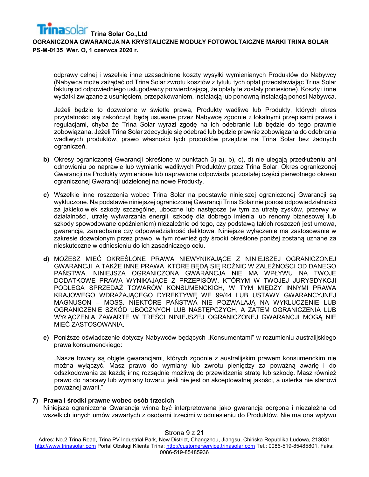odprawy celnej i wszelkie inne uzasadnione koszty wysyłki wymienianych Produktów do Nabywcy (Nabywca może zażądać od Trina Solar zwrotu kosztów z tytułu tych opłat przedstawiając Trina Solar fakturę od odpowiedniego usługodawcy potwierdzającą, że opłaty te zostały poniesione). Koszty i inne wydatki związane z usunięciem, przepakowaniem, instalacją lub ponowną instalacją ponosi Nabywca.

Jeżeli będzie to dozwolone w świetle prawa, Produkty wadliwe lub Produkty, których okres przydatności się zakończył, będą usuwane przez Nabywcę zgodnie z lokalnymi przepisami prawa i regulacjami, chyba że Trina Solar wyrazi zgodę na ich odebranie lub będzie do tego prawnie zobowiązana. Jeżeli Trina Solar zdecyduje się odebrać lub będzie prawnie zobowiązana do odebrania wadliwych produktów, prawo własności tych produktów przejdzie na Trina Solar bez żadnych ograniczeń.

- **b)** Okresy ograniczonej Gwarancji określone w punktach 3) a), b), c), d) nie ulegają przedłużeniu ani odnowieniu po naprawie lub wymianie wadliwych Produktów przez Trina Solar. Okres ograniczonej Gwarancji na Produkty wymienione lub naprawione odpowiada pozostałej części pierwotnego okresu ograniczonej Gwarancji udzielonej na nowe Produkty.
- **c)** Wszelkie inne roszczenia wobec Trina Solar na podstawie niniejszej ograniczonej Gwarancji są wykluczone. Na podstawie niniejszej ograniczonej Gwarancji Trina Solar nie ponosi odpowiedzialności za jakiekolwiek szkody szczególne, uboczne lub następcze (w tym za utratę zysków, przerwy w działalności, utratę wytwarzania energii, szkodę dla dobrego imienia lub renomy biznesowej lub szkody spowodowane opóźnieniem) niezależnie od tego, czy podstawą takich roszczeń jest umowa, gwarancja, zaniedbanie czy odpowiedzialność deliktowa. Niniejsze wyłączenie ma zastosowanie w zakresie dozwolonym przez prawo, w tym również gdy środki określone poniżej zostaną uznane za nieskuteczne w odniesieniu do ich zasadniczego celu.
- **d)** MOŻESZ MIEĆ OKREŚLONE PRAWA NIEWYNIKAJĄCE Z NINIEJSZEJ OGRANICZONEJ GWARANCJI, A TAKŻE INNE PRAWA, KTÓRE BĘDĄ SIĘ RÓŻNIĆ W ZALEŻNOŚCI OD DANEGO PAŃSTWA. NINIEJSZA OGRANICZONA GWARANCJA NIE MA WPŁYWU NA TWOJE DODATKOWE PRAWA WYNIKAJĄCE Z PRZEPISÓW, KTÓRYM W TWOJEJ JURYSDYKCJI PODLEGA SPRZEDAŻ TOWARÓW KONSUMENCKICH, W TYM MIĘDZY INNYMI PRAWA KRAJOWEGO WDRAŻAJĄCEGO DYREKTYWĘ WE 99/44 LUB USTAWY GWARANCYJNEJ MAGNUSON – MOSS. NIEKTÓRE PAŃSTWA NIE POZWALAJĄ NA WYKLUCZENIE LUB OGRANICZENIE SZKÓD UBOCZNYCH LUB NASTĘPCZYCH, A ZATEM OGRANICZENIA LUB WYŁĄCZENIA ZAWARTE W TREŚCI NINIEJSZEJ OGRANICZONEJ GWARANCJI MOGĄ NIE MIEĆ ZASTOSOWANIA.
- e) Poniższe oświadczenie dotyczy Nabywców będących "Konsumentami" w rozumieniu australijskiego prawa konsumenckiego:

"Nasze towary są objęte gwarancjami, których zgodnie z australijskim prawem konsumenckim nie można wyłączyć. Masz prawo do wymiany lub zwrotu pieniędzy za poważną awarię i do odszkodowania za każdą inną rozsądnie możliwą do przewidzenia stratę lub szkodę. Masz również prawo do naprawy lub wymiany towaru, jeśli nie jest on akceptowalnej jakości, a usterka nie stanowi poważnej awarii."

#### **7) Prawa i środki prawne wobec osób trzecich**

Niniejsza ograniczona Gwarancja winna być interpretowana jako gwarancja odrębna i niezależna od wszelkich innych umów zawartych z osobami trzecimi w odniesieniu do Produktów. Nie ma ona wpływu

#### Strona 9 z 21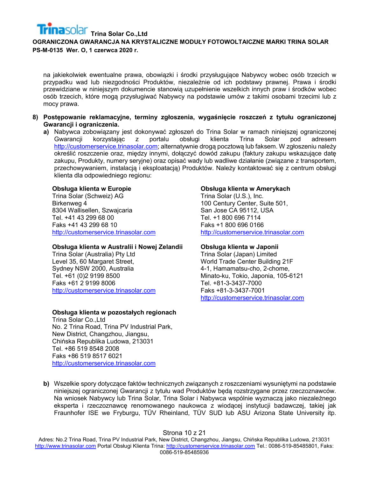na jakiekolwiek ewentualne prawa, obowiązki i środki przysługujące Nabywcy wobec osób trzecich w przypadku wad lub niezgodności Produktów, niezależnie od ich podstawy prawnej. Prawa i środki przewidziane w niniejszym dokumencie stanowią uzupełnienie wszelkich innych praw i środków wobec osób trzecich, które mogą przysługiwać Nabywcy na podstawie umów z takimi osobami trzecimi lub z mocy prawa.

- **8) Postępowanie reklamacyjne, terminy zgłoszenia, wygaśnięcie roszczeń z tytułu ograniczonej Gwarancji i ograniczenia.**
	- **a)** Nabywca zobowiązany jest dokonywać zgłoszeń do Trina Solar w ramach niniejszej ograniczonej Gwarancji korzystając z portalu obsługi klienta Trina Solar pod adresem [http://customerservice.trinasolar.com;](http://customerservice.trinasolar.com/) alternatywnie drogą pocztową lub faksem. W zgłoszeniu należy określić roszczenie oraz, między innymi, dołączyć dowód zakupu (faktury zakupu wskazujące datę zakupu, Produkty, numery seryjne) oraz opisać wady lub wadliwe działanie (związane z transportem, przechowywaniem, instalacją i eksploatacją) Produktów. Należy kontaktować się z centrum obsługi klienta dla odpowiedniego regionu:

#### **Obsługa klienta w Europie**

Trina Solar (Schweiz) AG Birkenweg 4 8304 Wallisellen, Szwajcaria Tel. +41 43 299 68 00 Faks +41 43 299 68 10 [http://customerservice.trinasolar.com](http://customerservice.trinasolar.com/)

#### **Obsługa klienta w Australii i Nowej Zelandii**

Trina Solar (Australia) Pty Ltd Level 35, 60 Margaret Street, Sydney NSW 2000, Australia Tel. +61 (0)2 9199 8500 Faks +61 2 9199 8006 [http://customerservice.trinasolar.com](http://customerservice.trinasolar.com/)

#### **Obsługa klienta w pozostałych regionach**

Trina Solar Co.,Ltd No. 2 Trina Road, Trina PV Industrial Park, New District, Changzhou, Jiangsu, Chińska Republika Ludowa, 213031 Tel. +86 519 8548 2008 Faks +86 519 8517 6021 [http://customerservice.trinasolar.com](http://customerservice.trinasolar.com/)

#### **Obsługa klienta w Amerykach**

Trina Solar (U.S.), Inc. 100 Century Center, Suite 501, San Jose CA 95112, USA Tel. +1 800 696 7114 Faks +1 800 696 0166 [http://customerservice.trinasolar.com](http://customerservice.trinasolar.com/)

#### **Obsługa klienta w Japonii**

Trina Solar (Japan) Limited World Trade Center Building 21F 4-1, Hamamatsu-cho, 2-chome, Minato-ku, Tokio, Japonia, 105-6121 Tel. +81-3-3437-7000 Faks +81-3-3437-7001 [http://customerservice.trinasolar.com](http://customerservice.trinasolar.com/)

**b)** Wszelkie spory dotyczące faktów technicznych związanych z roszczeniami wysuniętymi na podstawie niniejszej ograniczonej Gwarancji z tytułu wad Produktów będą rozstrzygane przez rzeczoznawców. Na wniosek Nabywcy lub Trina Solar, Trina Solar i Nabywca wspólnie wyznaczą jako niezależnego eksperta i rzeczoznawcę renomowanego naukowca z wiodącej instytucji badawczej, takiej jak Fraunhofer ISE we Fryburgu, TÜV Rheinland, TÜV SUD lub ASU Arizona State University itp.

#### Strona 10 z 21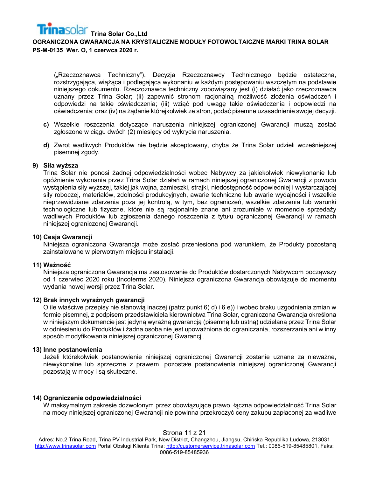("Rzeczoznawca Techniczny"). Decyzja Rzeczoznawcy Technicznego będzie ostateczna, rozstrzygająca, wiążąca i podlegająca wykonaniu w każdym postępowaniu wszczętym na podstawie niniejszego dokumentu. Rzeczoznawca techniczny zobowiązany jest (i) działać jako rzeczoznawca uznany przez Trina Solar; (ii) zapewnić stronom racjonalną możliwość złożenia oświadczeń i odpowiedzi na takie oświadczenia; (iii) wziąć pod uwagę takie oświadczenia i odpowiedzi na oświadczenia; oraz (iv) na żądanie którejkolwiek ze stron, podać pisemne uzasadnienie swojej decyzji.

- **c)** Wszelkie roszczenia dotyczące naruszenia niniejszej ograniczonej Gwarancji muszą zostać zgłoszone w ciągu dwóch (2) miesięcy od wykrycia naruszenia.
- **d)** Zwrot wadliwych Produktów nie będzie akceptowany, chyba że Trina Solar udzieli wcześniejszej pisemnej zgody.

#### **9) Siła wyższa**

Trina Solar nie ponosi żadnej odpowiedzialności wobec Nabywcy za jakiekolwiek niewykonanie lub opóźnienie wykonania przez Trina Solar działań w ramach niniejszej ograniczonej Gwarancji z powodu wystąpienia siły wyższej, takiej jak wojna, zamieszki, strajki, niedostępność odpowiedniej i wystarczającej siły roboczej, materiałów, zdolności produkcyjnych, awarie techniczne lub awarie wydajności i wszelkie nieprzewidziane zdarzenia poza jej kontrolą, w tym, bez ograniczeń, wszelkie zdarzenia lub warunki technologiczne lub fizyczne, które nie są racjonalnie znane ani zrozumiałe w momencie sprzedaży wadliwych Produktów lub zgłoszenia danego roszczenia z tytułu ograniczonej Gwarancji w ramach niniejszej ograniczonej Gwarancji.

#### **10) Cesja Gwarancji**

Niniejsza ograniczona Gwarancja może zostać przeniesiona pod warunkiem, że Produkty pozostaną zainstalowane w pierwotnym miejscu instalacji.

#### **11) Ważność**

Niniejsza ograniczona Gwarancja ma zastosowanie do Produktów dostarczonych Nabywcom począwszy od 1 czerwiec 2020 roku (Incoterms 2020). Niniejsza ograniczona Gwarancja obowiązuje do momentu wydania nowej wersji przez Trina Solar.

#### **12) Brak innych wyraźnych gwarancji**

O ile właściwe przepisy nie stanowią inaczej (patrz punkt 6) d) i 6 e)) i wobec braku uzgodnienia zmian w formie pisemnej, z podpisem przedstawiciela kierownictwa Trina Solar, ograniczona Gwarancja określona w niniejszym dokumencie jest jedyną wyraźną gwarancją (pisemną lub ustną) udzielaną przez Trina Solar w odniesieniu do Produktów i żadna osoba nie jest upoważniona do ograniczania, rozszerzania ani w inny sposób modyfikowania niniejszej ograniczonej Gwarancji.

#### **13) Inne postanowienia**

Jeżeli którekolwiek postanowienie niniejszej ograniczonej Gwarancji zostanie uznane za nieważne, niewykonalne lub sprzeczne z prawem, pozostałe postanowienia niniejszej ograniczonej Gwarancji pozostają w mocy i są skuteczne.

#### **14) Ograniczenie odpowiedzialności**

W maksymalnym zakresie dozwolonym przez obowiązujące prawo, łączna odpowiedzialność Trina Solar na mocy niniejszej ograniczonej Gwarancji nie powinna przekroczyć ceny zakupu zapłaconej za wadliwe

#### Strona 11 z 21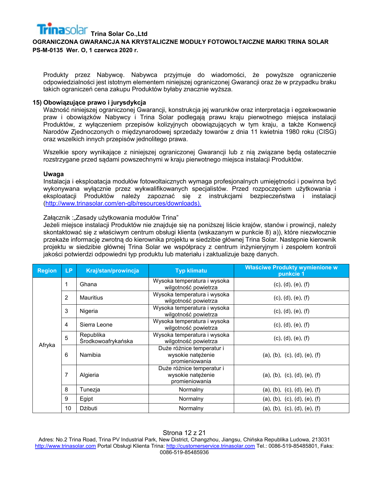Produkty przez Nabywcę. Nabywca przyjmuje do wiadomości, że powyższe ograniczenie odpowiedzialności jest istotnym elementem niniejszej ograniczonej Gwarancji oraz że w przypadku braku takich ograniczeń cena zakupu Produktów byłaby znacznie wyższa.

#### **15) Obowiązujące prawo i jurysdykcja**

Ważność niniejszej ograniczonej Gwarancji, konstrukcja jej warunków oraz interpretacja i egzekwowanie praw i obowiązków Nabywcy i Trina Solar podlegają prawu kraju pierwotnego miejsca instalacji Produktów, z wyłączeniem przepisów kolizyjnych obowiązujących w tym kraju, a także Konwencji Narodów Zjednoczonych o międzynarodowej sprzedaży towarów z dnia 11 kwietnia 1980 roku (CISG) oraz wszelkich innych przepisów jednolitego prawa.

Wszelkie spory wynikające z niniejszej ograniczonej Gwarancji lub z nią związane będą ostatecznie rozstrzygane przed sądami powszechnymi w kraju pierwotnego miejsca instalacji Produktów.

#### **Uwaga**

Instalacja i eksploatacja modułów fotowoltaicznych wymaga profesjonalnych umiejętności i powinna być wykonywana wyłącznie przez wykwalifikowanych specjalistów. Przed rozpoczęciem użytkowania i eksploatacji Produktów należy zapoznać się z instrukcjami bezpieczeństwa i instalacji [\(http://www.trinasolar.com/en](http://www.trinasolar.com/en-glb/resources/downloads)-glb/resources/downloads).

#### Załącznik :"Zasady użytkowania modułów Trina"

Jeżeli miejsce instalacji Produktów nie znajduje się na poniższej liście krajów, stanów i prowincji, należy skontaktować się z właściwym centrum obsługi klienta (wskazanym w punkcie 8) a)), które niezwłocznie przekaże informację zwrotną do kierownika projektu w siedzibie głównej Trina Solar. Następnie kierownik projektu w siedzibie głównej Trina Solar we współpracy z centrum inżynieryjnym i zespołem kontroli jakości potwierdzi odpowiedni typ produktu lub materiału i zaktualizuje bazę danych.

| <b>Region</b> | <b>LP</b>      | Kraj/stan/prowincja             | <b>Typ klimatu</b>                                               | Właściwe Produkty wymienione w<br>punkcie 1 |
|---------------|----------------|---------------------------------|------------------------------------------------------------------|---------------------------------------------|
|               | 1              | Ghana                           | Wysoka temperatura i wysoka<br>wilgotność powietrza              | (c), (d), (e), (f)                          |
|               | 2              | <b>Mauritius</b>                | Wysoka temperatura i wysoka<br>wilgotność powietrza              | (c), (d), (e), (f)                          |
|               | 3              | Nigeria                         | Wysoka temperatura i wysoka<br>wilgotność powietrza              | (c), (d), (e), (f)                          |
|               | $\overline{4}$ | Sierra Leone                    | Wysoka temperatura i wysoka<br>wilgotność powietrza              | (c), (d), (e), (f)                          |
|               | 5              | Republika<br>Środkowoafrykańska | Wysoka temperatura i wysoka<br>wilgotność powietrza              | (c), (d), (e), (f)                          |
| Afryka        | 6              | Namibia                         | Duże różnice temperatur i<br>wysokie natężenie<br>promieniowania | (a), (b), (c), (d), (e), (f)                |
|               | $\overline{7}$ | Algieria                        | Duże różnice temperatur i<br>wysokie natężenie<br>promieniowania | (a), (b), (c), (d), (e), (f)                |
|               | 8              | Tunezja                         | Normalny                                                         | (a), (b), (c), (d), (e), (f)                |
|               | 9              | Egipt                           | Normalny                                                         | (a), (b), (c), (d), (e), (f)                |
|               | 10             | Dzibuti                         | Normalny                                                         | (a), (b), (c), (d), (e), (f)                |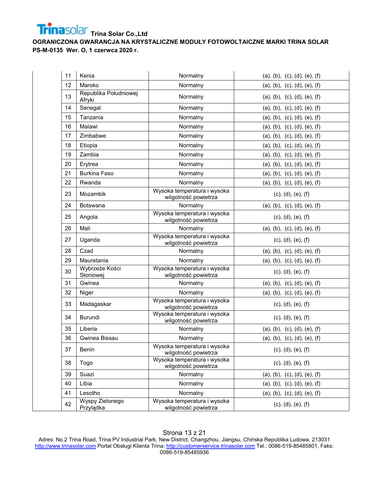

| 11 | Kenia                           | Normalny                                            | (a), (b), (c), (d), (e), (f) |
|----|---------------------------------|-----------------------------------------------------|------------------------------|
| 12 | Maroko                          | Normalny                                            | (a), (b), (c), (d), (e), (f) |
| 13 | Republika Południowej<br>Afryki | Normalny                                            | (a), (b), (c), (d), (e), (f) |
| 14 | Senegal                         | Normalny                                            | (a), (b), (c), (d), (e), (f) |
| 15 | Tanzania                        | Normalny                                            | (a), (b), (c), (d), (e), (f) |
| 16 | Malawi                          | Normalny                                            | (a), (b), (c), (d), (e), (f) |
| 17 | Zimbabwe                        | Normalny                                            | (a), (b), (c), (d), (e), (f) |
| 18 | Etiopia                         | Normalny                                            | (a), (b), (c), (d), (e), (f) |
| 19 | Zambia                          | Normalny                                            | (a), (b), (c), (d), (e), (f) |
| 20 | Erytrea                         | Normalny                                            | (a), (b), (c), (d), (e), (f) |
| 21 | <b>Burkina Faso</b>             | Normalny                                            | (a), (b), (c), (d), (e), (f) |
| 22 | Rwanda                          | Normalny                                            | (a), (b), (c), (d), (e), (f) |
| 23 | Mozambik                        | Wysoka temperatura i wysoka<br>wilgotność powietrza | (c), (d), (e), (f)           |
| 24 | <b>Botswana</b>                 | Normalny                                            | (a), (b), (c), (d), (e), (f) |
| 25 | Angola                          | Wysoka temperatura i wysoka<br>wilgotność powietrza | (c), (d), (e), (f)           |
| 26 | Mali                            | Normalny                                            | (a), (b), (c), (d), (e), (f) |
| 27 | Uganda                          | Wysoka temperatura i wysoka<br>wilgotność powietrza | (c), (d), (e), (f)           |
| 28 | Czad                            | Normalny                                            | (a), (b), (c), (d), (e), (f) |
| 29 | Mauretania                      | Normalny                                            | (a), (b), (c), (d), (e), (f) |
| 30 | Wybrzeże Kości<br>Słoniowej     | Wysoka temperatura i wysoka<br>wilgotność powietrza | (c), (d), (e), (f)           |
| 31 | Gwinea                          | Normalny                                            | (a), (b), (c), (d), (e), (f) |
| 32 | Niger                           | Normalny                                            | (a), (b), (c), (d), (e), (f) |
| 33 | Madagaskar                      | Wysoka temperatura i wysoka<br>wilgotność powietrza | (c), (d), (e), (f)           |
| 34 | Burundi                         | Wysoka temperatura i wysoka<br>wilgotność powietrza | (c), (d), (e), (f)           |
| 35 | Liberia                         | Normalny                                            | (a), (b), (c), (d), (e), (f) |
| 36 | Gwinea Bissau                   | Normalny                                            | (a), (b), (c), (d), (e), (f) |
| 37 | Benin                           | Wysoka temperatura i wysoka<br>wilgotność powietrza | (c), (d), (e), (f)           |
| 38 | Togo                            | Wysoka temperatura i wysoka<br>wilgotność powietrza | (c), (d), (e), (f)           |
| 39 | Suazi                           | Normalny                                            | (a), (b), (c), (d), (e), (f) |
| 40 | Libia                           | Normalny                                            | (a), (b), (c), (d), (e), (f) |
| 41 | Lesotho                         | Normalny                                            | (a), (b), (c), (d), (e), (f) |
| 42 | Wyspy Zielonego<br>Przylądka    | Wysoka temperatura i wysoka<br>wilgotność powietrza | (c), (d), (e), (f)           |

## Strona 13 z 21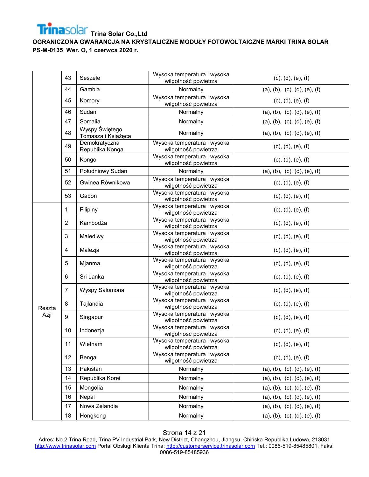**OGRANICZONA GWARANCJA NA KRYSTALICZNE MODUŁY FOTOWOLTAICZNE MARKI TRINA SOLAR PS-M-0135 Wer. O, 1 czerwca 2020 r.**

|        | 43             | Seszele                              | Wysoka temperatura i wysoka<br>wilgotność powietrza | (c), (d), (e), (f)           |
|--------|----------------|--------------------------------------|-----------------------------------------------------|------------------------------|
|        | 44             | Gambia                               | Normalny                                            | (a), (b), (c), (d), (e), (f) |
|        | 45             | Komory                               | Wysoka temperatura i wysoka<br>wilgotność powietrza | (c), (d), (e), (f)           |
|        | 46             | Sudan                                | Normalny                                            | (a), (b), (c), (d), (e), (f) |
|        | 47             | Somalia                              | Normalny                                            | (a), (b), (c), (d), (e), (f) |
|        | 48             | Wyspy Świętego<br>Tomasza i Książęca | Normalny                                            | (a), (b), (c), (d), (e), (f) |
|        | 49             | Demokratyczna<br>Republika Konga     | Wysoka temperatura i wysoka<br>wilgotność powietrza | (c), (d), (e), (f)           |
|        | 50             | Kongo                                | Wysoka temperatura i wysoka<br>wilgotność powietrza | (c), (d), (e), (f)           |
|        | 51             | Południowy Sudan                     | Normalny                                            | (a), (b), (c), (d), (e), (f) |
|        | 52             | Gwinea Równikowa                     | Wysoka temperatura i wysoka<br>wilgotność powietrza | (c), (d), (e), (f)           |
|        | 53             | Gabon                                | Wysoka temperatura i wysoka<br>wilgotność powietrza | (c), (d), (e), (f)           |
|        | 1              | Filipiny                             | Wysoka temperatura i wysoka<br>wilgotność powietrza | (c), (d), (e), (f)           |
|        | $\overline{2}$ | Kambodża                             | Wysoka temperatura i wysoka<br>wilgotność powietrza | (c), (d), (e), (f)           |
|        | 3              | Malediwy                             | Wysoka temperatura i wysoka<br>wilgotność powietrza | (c), (d), (e), (f)           |
|        | 4              | Malezja                              | Wysoka temperatura i wysoka<br>wilgotność powietrza | (c), (d), (e), (f)           |
|        | 5              | Mjanma                               | Wysoka temperatura i wysoka<br>wilgotność powietrza | (c), (d), (e), (f)           |
|        | 6              | Sri Lanka                            | Wysoka temperatura i wysoka<br>wilgotność powietrza | (c), (d), (e), (f)           |
|        | $\overline{7}$ | Wyspy Salomona                       | Wysoka temperatura i wysoka<br>wilgotność powietrza | (c), (d), (e), (f)           |
| Reszta | 8              | Tajlandia                            | Wysoka temperatura i wysoka<br>wilgotność powietrza | (c), (d), (e), (f)           |
| Azji   | 9              | Singapur                             | Wysoka temperatura i wysoka<br>wilgotność powietrza | (c), (d), (e), (f)           |
|        | 10             | Indonezja                            | Wysoka temperatura i wysoka<br>wilgotność powietrza | (c), (d), (e), (f)           |
|        | 11             | Wietnam                              | Wysoka temperatura i wysoka<br>wilgotność powietrza | (c), (d), (e), (f)           |
|        | 12             | Bengal                               | Wysoka temperatura i wysoka<br>wilgotność powietrza | (c), (d), (e), (f)           |
|        | 13             | Pakistan                             | Normalny                                            | (a), (b), (c), (d), (e), (f) |
|        | 14             | Republika Korei                      | Normalny                                            | (a), (b), (c), (d), (e), (f) |
|        | 15             | Mongolia                             | Normalny                                            | (a), (b), (c), (d), (e), (f) |
|        | 16             | Nepal                                | Normalny                                            | (a), (b), (c), (d), (e), (f) |
|        | 17             | Nowa Zelandia                        | Normalny                                            | (a), (b), (c), (d), (e), (f) |
|        | 18             | Hongkong                             | Normalny                                            | (a), (b), (c), (d), (e), (f) |

#### Strona 14 z 21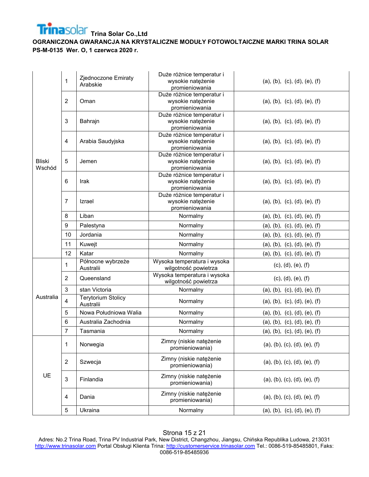

|                         | 1              | Zjednoczone Emiraty<br>Arabskie        | Duże różnice temperatur i<br>wysokie natężenie<br>promieniowania | (a), (b), (c), (d), (e), (f) |
|-------------------------|----------------|----------------------------------------|------------------------------------------------------------------|------------------------------|
|                         | $\overline{2}$ | Oman                                   | Duże różnice temperatur i<br>wysokie natężenie<br>promieniowania | (a), (b), (c), (d), (e), (f) |
|                         | 3              | Bahrajn                                | Duże różnice temperatur i<br>wysokie natężenie<br>promieniowania | (a), (b), (c), (d), (e), (f) |
|                         | 4              | Arabia Saudyjska                       | Duże różnice temperatur i<br>wysokie natężenie<br>promieniowania | (a), (b), (c), (d), (e), (f) |
| <b>Bliski</b><br>Wschód | 5              | Jemen                                  | Duże różnice temperatur i<br>wysokie natężenie<br>promieniowania | (a), (b), (c), (d), (e), (f) |
|                         | 6              | Irak                                   | Duże różnice temperatur i<br>wysokie natężenie<br>promieniowania | (a), (b), (c), (d), (e), (f) |
|                         | 7              | Izrael                                 | Duże różnice temperatur i<br>wysokie natężenie<br>promieniowania | (a), (b), (c), (d), (e), (f) |
|                         | 8              | Liban                                  | Normalny                                                         | (a), (b), (c), (d), (e), (f) |
|                         | 9              | Palestyna                              | Normalny                                                         | (a), (b), (c), (d), (e), (f) |
|                         | 10             | Jordania                               | Normalny                                                         | (a), (b), (c), (d), (e), (f) |
|                         | 11             | Kuwejt                                 | Normalny                                                         | (a), (b), (c), (d), (e), (f) |
|                         | 12             | Katar                                  | Normalny                                                         | (a), (b), (c), (d), (e), (f) |
|                         | 1              | Północne wybrzeże<br>Australii         | Wysoka temperatura i wysoka<br>wilgotność powietrza              | (c), (d), (e), (f)           |
|                         | 2              | Queensland                             | Wysoka temperatura i wysoka<br>wilgotność powietrza              | (c), (d), (e), (f)           |
|                         | 3              | stan Victoria                          | Normalny                                                         | (a), (b), (c), (d), (e), (f) |
| Australia               | 4              | <b>Terytorium Stolicy</b><br>Australii | Normalny                                                         | (a), (b), (c), (d), (e), (f) |
|                         | 5              | Nowa Południowa Walia                  | Normalny                                                         | (a), (b), (c), (d), (e), (f) |
|                         | 6              | Australia Zachodnia                    | Normalny                                                         | (a), (b), (c), (d), (e), (f) |
|                         | 7              | Tasmania                               | Normalny                                                         | (a), (b), (c), (d), (e), (f) |
|                         | 1              | Norwegia                               | Zimny (niskie natężenie<br>promieniowania)                       | (a), (b), (c), (d), (e), (f) |
|                         | $\overline{2}$ | Szwecja                                | Zimny (niskie natężenie<br>promieniowania)                       | (a), (b), (c), (d), (e), (f) |
| UE                      | 3              | Finlandia                              | Zimny (niskie natężenie<br>promieniowania)                       | (a), (b), (c), (d), (e), (f) |
|                         | 4              | Dania                                  | Zimny (niskie natężenie<br>promieniowania)                       | (a), (b), (c), (d), (e), (f) |
|                         | 5              | Ukraina                                | Normalny                                                         | (a), (b), (c), (d), (e), (f) |

Strona 15 z 21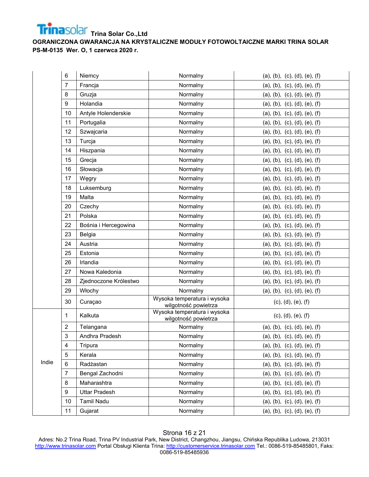

|       | 6                       | Niemcy                | Normalny                                            | (a), (b), (c), (d), (e), (f) |
|-------|-------------------------|-----------------------|-----------------------------------------------------|------------------------------|
|       | 7                       | Francja               | Normalny                                            | (a), (b), (c), (d), (e), (f) |
|       | 8                       | Gruzja                | Normalny                                            | (a), (b), (c), (d), (e), (f) |
|       | $9\,$                   | Holandia              | Normalny                                            | (a), (b), (c), (d), (e), (f) |
|       | 10                      | Antyle Holenderskie   | Normalny                                            | (a), (b), (c), (d), (e), (f) |
|       | 11                      | Portugalia            | Normalny                                            | (a), (b), (c), (d), (e), (f) |
|       | 12                      | Szwajcaria            | Normalny                                            | (a), (b), (c), (d), (e), (f) |
|       | 13                      | Turcja                | Normalny                                            | (a), (b), (c), (d), (e), (f) |
|       | 14                      | Hiszpania             | Normalny                                            | (a), (b), (c), (d), (e), (f) |
|       | 15                      | Grecja                | Normalny                                            | (a), (b), (c), (d), (e), (f) |
|       | 16                      | Słowacja              | Normalny                                            | (a), (b), (c), (d), (e), (f) |
|       | 17                      | Węgry                 | Normalny                                            | (a), (b), (c), (d), (e), (f) |
|       | 18                      | Luksemburg            | Normalny                                            | (a), (b), (c), (d), (e), (f) |
|       | 19                      | Malta                 | Normalny                                            | (a), (b), (c), (d), (e), (f) |
|       | 20                      | Czechy                | Normalny                                            | (a), (b), (c), (d), (e), (f) |
|       | 21                      | Polska                | Normalny                                            | (a), (b), (c), (d), (e), (f) |
|       | 22                      | Bośnia i Hercegowina  | Normalny                                            | (a), (b), (c), (d), (e), (f) |
|       | 23                      | Belgia                | Normalny                                            | (a), (b), (c), (d), (e), (f) |
|       | 24                      | Austria               | Normalny                                            | (a), (b), (c), (d), (e), (f) |
|       | 25                      | Estonia               | Normalny                                            | (a), (b), (c), (d), (e), (f) |
|       | 26                      | Irlandia              | Normalny                                            | (a), (b), (c), (d), (e), (f) |
|       | 27                      | Nowa Kaledonia        | Normalny                                            | (a), (b), (c), (d), (e), (f) |
|       | 28                      | Zjednoczone Królestwo | Normalny                                            | (a), (b), (c), (d), (e), (f) |
|       | 29                      | Włochy                | Normalny                                            | (a), (b), (c), (d), (e), (f) |
|       | 30                      | Curaçao               | Wysoka temperatura i wysoka<br>wilgotność powietrza | (c), (d), (e), (f)           |
|       | 1                       | Kalkuta               | Wysoka temperatura i wysoka<br>wilgotność powietrza | (c), (d), (e), (f)           |
|       | 2                       | Telangana             | Normalny                                            | (a), (b), (c), (d), (e), (f) |
|       | 3                       | Andhra Pradesh        | Normalny                                            | (a), (b), (c), (d), (e), (f) |
|       | $\overline{\mathbf{4}}$ | Tripura               | Normalny                                            | (a), (b), (c), (d), (e), (f) |
|       | 5                       | Kerala                | Normalny                                            | (a), (b), (c), (d), (e), (f) |
| Indie | $\,6$                   | Radżastan             | Normalny                                            | (a), (b), (c), (d), (e), (f) |
|       | $\overline{7}$          | Bengal Zachodni       | Normalny                                            | (a), (b), (c), (d), (e), (f) |
|       | 8                       | Maharashtra           | Normalny                                            | (a), (b), (c), (d), (e), (f) |
|       | 9                       | <b>Uttar Pradesh</b>  | Normalny                                            | (a), (b), (c), (d), (e), (f) |
|       | 10                      | Tamil Nadu            | Normalny                                            | (a), (b), (c), (d), (e), (f) |
|       | 11                      | Gujarat               | Normalny                                            | (a), (b), (c), (d), (e), (f) |

## Strona 16 z 21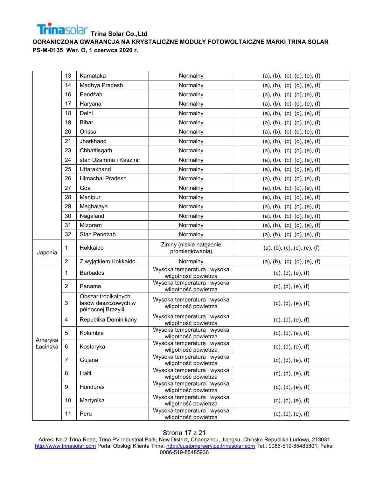

|                     | 13             | Karnataka                                                        | Normalny                                            | (a), (b), (c), (d), (e), (f) |
|---------------------|----------------|------------------------------------------------------------------|-----------------------------------------------------|------------------------------|
|                     | 14             | Madhya Pradesh                                                   | Normalny                                            | (a), (b), (c), (d), (e), (f) |
|                     | 16             | Pendżab                                                          | Normalny                                            | (a), (b), (c), (d), (e), (f) |
|                     | 17             | Haryana                                                          | Normalny                                            | (a), (b), (c), (d), (e), (f) |
|                     | 18             | Delhi                                                            | Normalny                                            | (a), (b), (c), (d), (e), (f) |
|                     | 19             | <b>Bihar</b>                                                     | Normalny                                            | (a), (b), (c), (d), (e), (f) |
|                     | 20             | Orissa                                                           | Normalny                                            | (a), (b), (c), (d), (e), (f) |
|                     | 21             | Jharkhand                                                        | Normalny                                            | (a), (b), (c), (d), (e), (f) |
|                     | 23             | Chhattisgarh                                                     | Normalny                                            | (a), (b), (c), (d), (e), (f) |
|                     | 24             | stan Dżammu i Kaszmir                                            | Normalny                                            | (a), (b), (c), (d), (e), (f) |
|                     | 25             | Uttarakhand                                                      | Normalny                                            | (a), (b), (c), (d), (e), (f) |
|                     | 26             | Himachal Pradesh                                                 | Normalny                                            | (a), (b), (c), (d), (e), (f) |
|                     | 27             | Goa                                                              | Normalny                                            | (a), (b), (c), (d), (e), (f) |
|                     | 28             | Manipur                                                          | Normalny                                            | (a), (b), (c), (d), (e), (f) |
|                     | 29             | Meghalaya                                                        | Normalny                                            | (a), (b), (c), (d), (e), (f) |
|                     | 30             | Nagaland                                                         | Normalny                                            | (a), (b), (c), (d), (e), (f) |
|                     | 31             | Mizoram                                                          | Normalny                                            | (a), (b), (c), (d), (e), (f) |
|                     | 32             | Stan Pendżab                                                     | Normalny                                            | (a), (b), (c), (d), (e), (f) |
| Japonia             | 1              | Hokkaido                                                         | Zimny (niskie natężenie<br>promieniowania)          | (a), (b), (c), (d), (e), (f) |
|                     | $\overline{2}$ | Z wyjątkiem Hokkaido                                             | Normalny                                            | (a), (b), (c), (d), (e), (f) |
|                     | 1              | <b>Barbados</b>                                                  | Wysoka temperatura i wysoka<br>wilgotność powietrza | (c), (d), (e), (f)           |
|                     | 2              | Panama                                                           | Wysoka temperatura i wysoka<br>wilgotność powietrza | (c), (d), (e), (f)           |
|                     | 3              | Obszar tropikalnych<br>lasów deszczowych w<br>północnej Brazylii | Wysoka temperatura i wysoka<br>wilgotność powietrza | (c), (d), (e), (f)           |
|                     | $\overline{4}$ | Republika Dominikany                                             | Wysoka temperatura i wysoka<br>wilgotność powietrza | (c), (d), (e), (f)           |
|                     | 5              | Kolumbia                                                         | Wysoka temperatura i wysoka<br>wilgotność powietrza | (c), (d), (e), (f)           |
| Ameryka<br>Łacińska | 6              | Kostaryka                                                        | Wysoka temperatura i wysoka<br>wilgotność powietrza | (c), (d), (e), (f)           |
|                     | $\overline{7}$ | Gujana                                                           | Wysoka temperatura i wysoka<br>wilgotność powietrza | (c), (d), (e), (f)           |
|                     | 8              | Haiti                                                            | Wysoka temperatura i wysoka<br>wilgotność powietrza | (c), (d), (e), (f)           |
|                     | 9              | Honduras                                                         | Wysoka temperatura i wysoka<br>wilgotność powietrza | (c), (d), (e), (f)           |
|                     | 10             | Martynika                                                        | Wysoka temperatura i wysoka<br>wilgotność powietrza | (c), (d), (e), (f)           |
|                     | 11             | Peru                                                             | Wysoka temperatura i wysoka<br>wilgotność powietrza | (c), (d), (e), (f)           |

#### Strona 17 z 21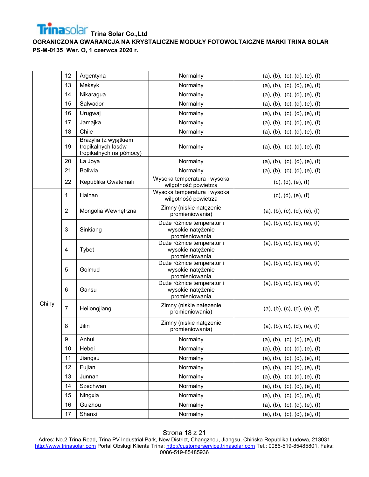

|       | 12             | Argentyna                                                               | Normalny                                                         | (a), (b), (c), (d), (e), (f) |
|-------|----------------|-------------------------------------------------------------------------|------------------------------------------------------------------|------------------------------|
|       | 13             | Meksyk                                                                  | Normalny                                                         | (a), (b), (c), (d), (e), (f) |
|       | 14             | Nikaragua                                                               | Normalny                                                         | (a), (b), (c), (d), (e), (f) |
|       | 15             | Salwador                                                                | Normalny                                                         | (a), (b), (c), (d), (e), (f) |
|       | 16             | Urugwaj                                                                 | Normalny                                                         | (a), (b), (c), (d), (e), (f) |
|       | 17             | Jamajka                                                                 | Normalny                                                         | (a), (b), (c), (d), (e), (f) |
|       | 18             | Chile                                                                   | Normalny                                                         | (a), (b), (c), (d), (e), (f) |
|       | 19             | Brazylia (z wyjątkiem<br>tropikalnych lasów<br>tropikalnych na północy) | Normalny                                                         | (a), (b), (c), (d), (e), (f) |
|       | 20             | La Joya                                                                 | Normalny                                                         | (a), (b), (c), (d), (e), (f) |
|       | 21             | <b>Boliwia</b>                                                          | Normalny                                                         | (a), (b), (c), (d), (e), (f) |
|       | 22             | Republika Gwatemali                                                     | Wysoka temperatura i wysoka<br>wilgotność powietrza              | (c), (d), (e), (f)           |
|       | 1              | Hainan                                                                  | Wysoka temperatura i wysoka<br>wilgotność powietrza              | (c), (d), (e), (f)           |
|       | $\overline{2}$ | Mongolia Wewnętrzna                                                     | Zimny (niskie natężenie<br>promieniowania)                       | (a), (b), (c), (d), (e), (f) |
|       | 3              | Sinkiang                                                                | Duże różnice temperatur i<br>wysokie natężenie<br>promieniowania | (a), (b), (c), (d), (e), (f) |
|       | 4              | Tybet                                                                   | Duże różnice temperatur i<br>wysokie natężenie<br>promieniowania | (a), (b), (c), (d), (e), (f) |
|       | 5              | Golmud                                                                  | Duże różnice temperatur i<br>wysokie natężenie<br>promieniowania | (a), (b), (c), (d), (e), (f) |
|       | 6              | Gansu                                                                   | Duże różnice temperatur i<br>wysokie natężenie<br>promieniowania | (a), (b), (c), (d), (e), (f) |
| Chiny | $\overline{7}$ | Heilongjiang                                                            | Zimny (niskie natężenie<br>promieniowania)                       | (a), (b), (c), (d), (e), (f) |
|       | 8              | Jilin                                                                   | Zimny (niskie natężenie<br>promieniowania)                       | (a), (b), (c), (d), (e), (f) |
|       | 9              | Anhui                                                                   | Normalny                                                         | (a), (b), (c), (d), (e), (f) |
|       | 10             | Hebei                                                                   | Normalny                                                         | (a), (b), (c), (d), (e), (f) |
|       | 11             | Jiangsu                                                                 | Normalny                                                         | (a), (b), (c), (d), (e), (f) |
|       | 12             | Fujian                                                                  | Normalny                                                         | (a), (b), (c), (d), (e), (f) |
|       | 13             | Junnan                                                                  | Normalny                                                         | (a), (b), (c), (d), (e), (f) |
|       | 14             | Szechwan                                                                | Normalny                                                         | (a), (b), (c), (d), (e), (f) |
|       | 15             | Ningxia                                                                 | Normalny                                                         | (a), (b), (c), (d), (e), (f) |
|       | 16             | Guizhou                                                                 | Normalny                                                         | (a), (b), (c), (d), (e), (f) |
|       | 17             | Shanxi                                                                  | Normalny                                                         | (a), (b), (c), (d), (e), (f) |

## Strona 18 z 21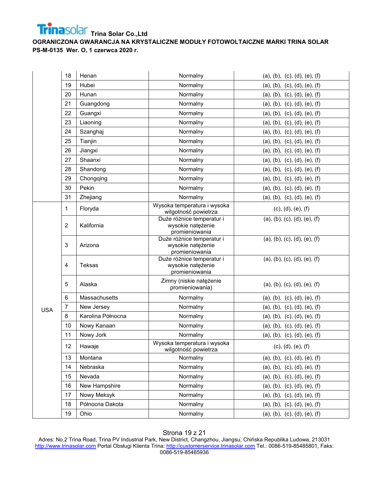

|            | 18             | Henan             | Normalny                                                         | (a), (b), (c), (d), (e), (f) |
|------------|----------------|-------------------|------------------------------------------------------------------|------------------------------|
|            | 19             | Hubei             | Normalny                                                         | (a), (b), (c), (d), (e), (f) |
|            | 20             | Hunan             | Normalny                                                         | (a), (b), (c), (d), (e), (f) |
|            | 21             | Guangdong         | Normalny                                                         | (a), (b), (c), (d), (e), (f) |
|            | 22             | Guangxi           | Normalny                                                         | (a), (b), (c), (d), (e), (f) |
|            | 23             | Liaoning          | Normalny                                                         | (a), (b), (c), (d), (e), (f) |
|            | 24             | Szanghaj          | Normalny                                                         | (a), (b), (c), (d), (e), (f) |
|            | 25             | Tianjin           | Normalny                                                         | (a), (b), (c), (d), (e), (f) |
|            | 26             | Jiangxi           | Normalny                                                         | (a), (b), (c), (d), (e), (f) |
|            | 27             | Shaanxi           | Normalny                                                         | (a), (b), (c), (d), (e), (f) |
|            | 28             | Shandong          | Normalny                                                         | (a), (b), (c), (d), (e), (f) |
|            | 29             | Chongqing         | Normalny                                                         | (a), (b), (c), (d), (e), (f) |
|            | 30             | Pekin             | Normalny                                                         | (a), (b), (c), (d), (e), (f) |
|            | 31             | Zhejiang          | Normalny                                                         | (a), (b), (c), (d), (e), (f) |
|            | 1              | Floryda           | Wysoka temperatura i wysoka<br>wilgotność powietrza              | (c), (d), (e), (f)           |
|            | $\overline{2}$ | Kalifornia        | Duże różnice temperatur i<br>wysokie natężenie<br>promieniowania | (a), (b), (c), (d), (e), (f) |
|            | $\mathbf 3$    | Arizona           | Duże różnice temperatur i<br>wysokie natężenie<br>promieniowania | (a), (b), (c), (d), (e), (f) |
|            | 4              | Teksas            | Duże różnice temperatur i<br>wysokie natężenie<br>promieniowania | (a), (b), (c), (d), (e), (f) |
|            | 5              | Alaska            | Zimny (niskie natężenie<br>promieniowania)                       | (a), (b), (c), (d), (e), (f) |
|            | 6              | Massachusetts     | Normalny                                                         | (a), (b), (c), (d), (e), (f) |
| <b>USA</b> | $\overline{7}$ | New Jersey        | Normalny                                                         | (a), (b), (c), (d), (e), (f) |
|            | 8              | Karolina Północna | Normalny                                                         | (a), (b), (c), (d), (e), (f) |
|            | 10             | Nowy Kanaan       | Normalny                                                         | (a), (b), (c), (d), (e), (f) |
|            | 11             | Nowy Jork         | Normalny                                                         | (a), (b), (c), (d), (e), (f) |
|            | 12             | Hawaje            | Wysoka temperatura i wysoka<br>wilgotność powietrza              | (c), (d), (e), (f)           |
|            | 13             | Montana           | Normalny                                                         | (a), (b), (c), (d), (e), (f) |
|            | 14             | Nebraska          | Normalny                                                         | (a), (b), (c), (d), (e), (f) |
|            | 15             | Nevada            | Normalny                                                         | (a), (b), (c), (d), (e), (f) |
|            | 16             | New Hampshire     | Normalny                                                         | (a), (b), (c), (d), (e), (f) |
|            | 17             | Nowy Meksyk       | Normalny                                                         | (a), (b), (c), (d), (e), (f) |
|            | 18             | Północna Dakota   | Normalny                                                         | (a), (b), (c), (d), (e), (f) |
|            | 19             | Ohio              | Normalny                                                         | (a), (b), (c), (d), (e), (f) |
|            |                |                   |                                                                  |                              |

## Strona 19 z 21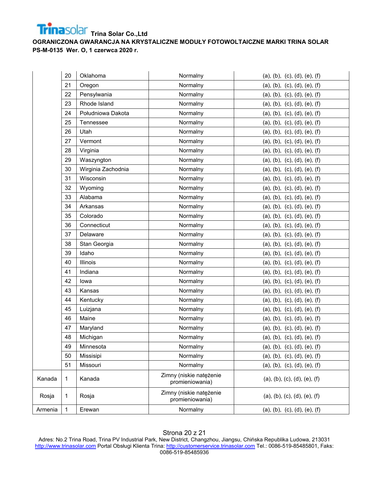

|         | 20           | Oklahoma           | Normalny                                   | (a), (b), (c), (d), (e), (f) |
|---------|--------------|--------------------|--------------------------------------------|------------------------------|
|         | 21           | Oregon             | Normalny                                   | (a), (b), (c), (d), (e), (f) |
|         | 22           | Pensylwania        | Normalny                                   | (a), (b), (c), (d), (e), (f) |
|         | 23           | Rhode Island       | Normalny                                   | (a), (b), (c), (d), (e), (f) |
|         | 24           | Południowa Dakota  | Normalny                                   | (a), (b), (c), (d), (e), (f) |
|         | 25           | Tennessee          | Normalny                                   | (a), (b), (c), (d), (e), (f) |
|         | 26           | Utah               | Normalny                                   | (a), (b), (c), (d), (e), (f) |
|         | 27           | Vermont            | Normalny                                   | (a), (b), (c), (d), (e), (f) |
|         | 28           | Virginia           | Normalny                                   | (a), (b), (c), (d), (e), (f) |
|         | 29           | Waszyngton         | Normalny                                   | (a), (b), (c), (d), (e), (f) |
|         | 30           | Wirginia Zachodnia | Normalny                                   | (a), (b), (c), (d), (e), (f) |
|         | 31           | Wisconsin          | Normalny                                   | (a), (b), (c), (d), (e), (f) |
|         | 32           | Wyoming            | Normalny                                   | (a), (b), (c), (d), (e), (f) |
|         | 33           | Alabama            | Normalny                                   | (a), (b), (c), (d), (e), (f) |
|         | 34           | Arkansas           | Normalny                                   | (a), (b), (c), (d), (e), (f) |
|         | 35           | Colorado           | Normalny                                   | (a), (b), (c), (d), (e), (f) |
|         | 36           | Connecticut        | Normalny                                   | (a), (b), (c), (d), (e), (f) |
|         | 37           | Delaware           | Normalny                                   | (a), (b), (c), (d), (e), (f) |
|         | 38           | Stan Georgia       | Normalny                                   | (a), (b), (c), (d), (e), (f) |
|         | 39           | Idaho              | Normalny                                   | (a), (b), (c), (d), (e), (f) |
|         | 40           | Illinois           | Normalny                                   | (a), (b), (c), (d), (e), (f) |
|         | 41           | Indiana            | Normalny                                   | (a), (b), (c), (d), (e), (f) |
|         | 42           | lowa               | Normalny                                   | (a), (b), (c), (d), (e), (f) |
|         | 43           | Kansas             | Normalny                                   | (a), (b), (c), (d), (e), (f) |
|         | 44           | Kentucky           | Normalny                                   | (a), (b), (c), (d), (e), (f) |
|         | 45           | Luizjana           | Normalny                                   | (a), (b), (c), (d), (e), (f) |
|         | 46           | Maine              | Normalny                                   | (a), (b), (c), (d), (e), (f) |
|         | 47           | Maryland           | Normalny                                   | (a), (b), (c), (d), (e), (f) |
|         | 48           | Michigan           | Normalny                                   | (a), (b), (c), (d), (e), (f) |
|         | 49           | Minnesota          | Normalny                                   | (a), (b), (c), (d), (e), (f) |
|         | 50           | Missisipi          | Normalny                                   | (a), (b), (c), (d), (e), (f) |
|         | 51           | Missouri           | Normalny                                   | (a), (b), (c), (d), (e), (f) |
| Kanada  | $\mathbf{1}$ | Kanada             | Zimny (niskie natężenie<br>promieniowania) | (a), (b), (c), (d), (e), (f) |
| Rosja   | $\mathbf{1}$ | Rosja              | Zimny (niskie natężenie<br>promieniowania) | (a), (b), (c), (d), (e), (f) |
| Armenia | $\mathbf{1}$ | Erewan             | Normalny                                   | (a), (b), (c), (d), (e), (f) |

# Strona 20 z 21